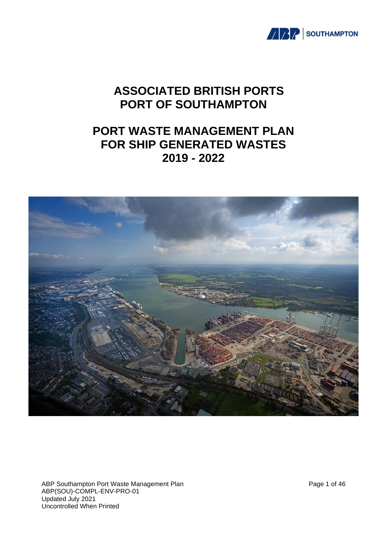

# **ASSOCIATED BRITISH PORTS PORT OF SOUTHAMPTON**

# **PORT WASTE MANAGEMENT PLAN FOR SHIP GENERATED WASTES 2019 - 2022**



ABP Southampton Port Waste Management Plan Page 1 of 46 ABP(SOU)-COMPL-ENV-PRO-01 Updated July 2021 Uncontrolled When Printed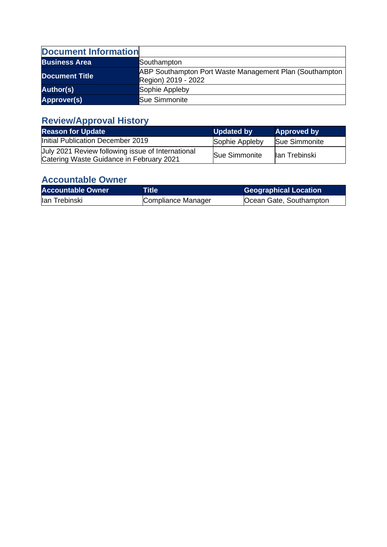| <b>Document Information</b> |                                                                                |
|-----------------------------|--------------------------------------------------------------------------------|
| <b>Business Area</b>        | Southampton                                                                    |
| <b>Document Title</b>       | ABP Southampton Port Waste Management Plan (Southampton<br>Region) 2019 - 2022 |
| <b>Author(s)</b>            | Sophie Appleby                                                                 |
| Approver(s)                 | <b>Sue Simmonite</b>                                                           |

# **Review/Approval History**

| <b>Reason for Update</b>                                                                      | <b>Updated by</b> | <b>Approved by</b>   |
|-----------------------------------------------------------------------------------------------|-------------------|----------------------|
| Initial Publication December 2019                                                             | Sophie Appleby    | <b>Sue Simmonite</b> |
| Uuly 2021 Review following issue of International<br>Catering Waste Guidance in February 2021 | Sue Simmonite     | llan Trebinski       |

# **Accountable Owner**

| <b>Accountable Owner</b> | Title              | <b>Geographical Location</b> |
|--------------------------|--------------------|------------------------------|
| lan Trebinski            | Compliance Manager | Ocean Gate, Southampton      |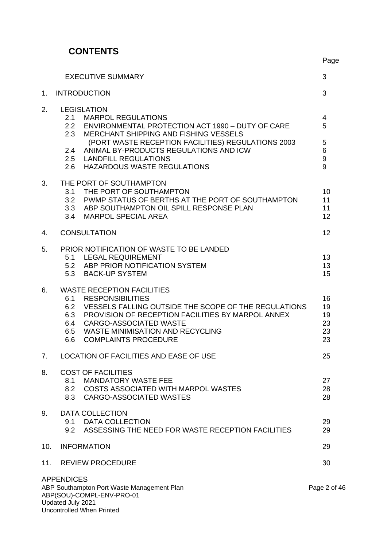# **CONTENTS**

Uncontrolled When Printed

|     | <b>EXECUTIVE SUMMARY</b>                                                                                                                                                                                                                                                                                             | 3                                                             |
|-----|----------------------------------------------------------------------------------------------------------------------------------------------------------------------------------------------------------------------------------------------------------------------------------------------------------------------|---------------------------------------------------------------|
| 1.  | <b>INTRODUCTION</b>                                                                                                                                                                                                                                                                                                  | 3                                                             |
| 2.  | <b>LEGISLATION</b><br>2.1 MARPOL REGULATIONS<br>2.2 ENVIRONMENTAL PROTECTION ACT 1990 - DUTY OF CARE<br>2.3 MERCHANT SHIPPING AND FISHING VESSELS<br>(PORT WASTE RECEPTION FACILITIES) REGULATIONS 2003<br>2.4 ANIMAL BY-PRODUCTS REGULATIONS AND ICW<br>2.5 LANDFILL REGULATIONS<br>2.6 HAZARDOUS WASTE REGULATIONS | $\overline{\mathbf{4}}$<br>5<br>5<br>6<br>$\overline{9}$<br>9 |
| 3.  | THE PORT OF SOUTHAMPTON<br>3.1 THE PORT OF SOUTHAMPTON<br>3.2 PWMP STATUS OF BERTHS AT THE PORT OF SOUTHAMPTON<br>3.3 ABP SOUTHAMPTON OIL SPILL RESPONSE PLAN<br>3.4 MARPOL SPECIAL AREA                                                                                                                             | 10<br>11<br>11<br>12                                          |
| 4.  | <b>CONSULTATION</b>                                                                                                                                                                                                                                                                                                  | 12                                                            |
| 5.  | PRIOR NOTIFICATION OF WASTE TO BE LANDED<br>5.1 LEGAL REQUIREMENT<br>5.2 ABP PRIOR NOTIFICATION SYSTEM<br>5.3 BACK-UP SYSTEM                                                                                                                                                                                         | 13<br>13<br>15                                                |
| 6.  | <b>WASTE RECEPTION FACILITIES</b><br>6.1 RESPONSIBILITIES<br>6.2 VESSELS FALLING OUTSIDE THE SCOPE OF THE REGULATIONS<br>6.3 PROVISION OF RECEPTION FACILITIES BY MARPOL ANNEX<br>6.4 CARGO-ASSOCIATED WASTE<br>6.5<br><b>WASTE MINIMISATION AND RECYCLING</b><br>6.6<br><b>COMPLAINTS PROCEDURE</b>                 | 16<br>19<br>19<br>23<br>23<br>23                              |
| 7.  | LOCATION OF FACILITIES AND EASE OF USE                                                                                                                                                                                                                                                                               | 25                                                            |
| 8.  | <b>COST OF FACILITIES</b><br><b>MANDATORY WASTE FEE</b><br>8.1<br>8.2 COSTS ASSOCIATED WITH MARPOL WASTES<br>8.3 CARGO-ASSOCIATED WASTES                                                                                                                                                                             | 27<br>28<br>28                                                |
| 9.  | <b>DATA COLLECTION</b><br>9.1<br><b>DATA COLLECTION</b><br>9.2<br>ASSESSING THE NEED FOR WASTE RECEPTION FACILITIES                                                                                                                                                                                                  | 29<br>29                                                      |
| 10. | <b>INFORMATION</b>                                                                                                                                                                                                                                                                                                   | 29                                                            |
| 11. | <b>REVIEW PROCEDURE</b>                                                                                                                                                                                                                                                                                              | 30                                                            |
|     | <b>APPENDICES</b><br>ABP Southampton Port Waste Management Plan<br>ABP(SOU)-COMPL-ENV-PRO-01<br>Updated July 2021                                                                                                                                                                                                    | Page 2 of 46                                                  |

Page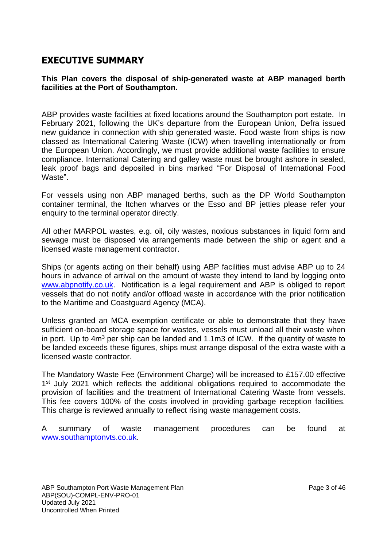# **EXECUTIVE SUMMARY**

### **This Plan covers the disposal of ship-generated waste at ABP managed berth facilities at the Port of Southampton.**

ABP provides waste facilities at fixed locations around the Southampton port estate. In February 2021, following the UK's departure from the European Union, Defra issued new guidance in connection with ship generated waste. Food waste from ships is now classed as International Catering Waste (ICW) when travelling internationally or from the European Union. Accordingly, we must provide additional waste facilities to ensure compliance. International Catering and galley waste must be brought ashore in sealed, leak proof bags and deposited in bins marked "For Disposal of International Food Waste".

For vessels using non ABP managed berths, such as the DP World Southampton container terminal, the Itchen wharves or the Esso and BP jetties please refer your enquiry to the terminal operator directly.

All other MARPOL wastes, e.g. oil, oily wastes, noxious substances in liquid form and sewage must be disposed via arrangements made between the ship or agent and a licensed waste management contractor.

Ships (or agents acting on their behalf) using ABP facilities must advise ABP up to 24 hours in advance of arrival on the amount of waste they intend to land by logging onto [www.abpnotify.co.uk.](http://www.abpnotify.co.uk/) Notification is a legal requirement and ABP is obliged to report vessels that do not notify and/or offload waste in accordance with the prior notification to the Maritime and Coastguard Agency (MCA).

Unless granted an MCA exemption certificate or able to demonstrate that they have sufficient on-board storage space for wastes, vessels must unload all their waste when in port. Up to 4m<sup>3</sup> per ship can be landed and 1.1m3 of ICW. If the quantity of waste to be landed exceeds these figures, ships must arrange disposal of the extra waste with a licensed waste contractor.

The Mandatory Waste Fee (Environment Charge) will be increased to £157.00 effective 1<sup>st</sup> July 2021 which reflects the additional obligations required to accommodate the provision of facilities and the treatment of International Catering Waste from vessels. This fee covers 100% of the costs involved in providing garbage reception facilities. This charge is reviewed annually to reflect rising waste management costs.

A summary of waste management procedures can be found at [www.southamptonvts.co.uk.](http://www.southamptonvts.co.uk/)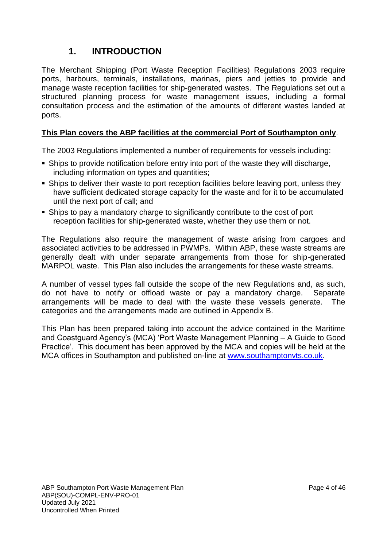# **1. INTRODUCTION**

The Merchant Shipping (Port Waste Reception Facilities) Regulations 2003 require ports, harbours, terminals, installations, marinas, piers and jetties to provide and manage waste reception facilities for ship-generated wastes. The Regulations set out a structured planning process for waste management issues, including a formal consultation process and the estimation of the amounts of different wastes landed at ports.

# **This Plan covers the ABP facilities at the commercial Port of Southampton only**.

The 2003 Regulations implemented a number of requirements for vessels including:

- Ships to provide notification before entry into port of the waste they will discharge, including information on types and quantities;
- Ships to deliver their waste to port reception facilities before leaving port, unless they have sufficient dedicated storage capacity for the waste and for it to be accumulated until the next port of call; and
- Ships to pay a mandatory charge to significantly contribute to the cost of port reception facilities for ship-generated waste, whether they use them or not.

The Regulations also require the management of waste arising from cargoes and associated activities to be addressed in PWMPs. Within ABP, these waste streams are generally dealt with under separate arrangements from those for ship-generated MARPOL waste. This Plan also includes the arrangements for these waste streams.

A number of vessel types fall outside the scope of the new Regulations and, as such, do not have to notify or offload waste or pay a mandatory charge. Separate arrangements will be made to deal with the waste these vessels generate. The categories and the arrangements made are outlined in Appendix B.

This Plan has been prepared taking into account the advice contained in the Maritime and Coastguard Agency's (MCA) 'Port Waste Management Planning – A Guide to Good Practice'. This document has been approved by the MCA and copies will be held at the MCA offices in Southampton and published on-line at [www.southamptonvts.co.uk.](http://www.southamptonvts.co.uk/)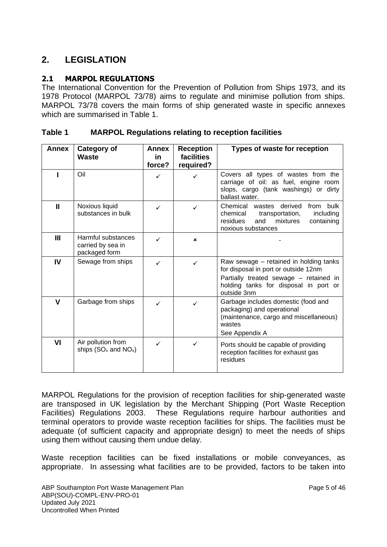# **2. LEGISLATION**

# **2.1 MARPOL REGULATIONS**

The International Convention for the Prevention of Pollution from Ships 1973, and its 1978 Protocol (MARPOL 73/78) aims to regulate and minimise pollution from ships. MARPOL 73/78 covers the main forms of ship generated waste in specific annexes which are summarised in Table 1.

| Table 1 | <b>MARPOL Regulations relating to reception facilities</b> |
|---------|------------------------------------------------------------|
|---------|------------------------------------------------------------|

| <b>Annex</b>  | Category of<br>Waste                                     | <b>Annex</b><br>in. | <b>Reception</b><br><b>facilities</b> | Types of waste for reception                                                                                                                                                     |  |
|---------------|----------------------------------------------------------|---------------------|---------------------------------------|----------------------------------------------------------------------------------------------------------------------------------------------------------------------------------|--|
|               | Oil                                                      | force?<br>✓         | required?                             | Covers all types of wastes from the<br>carriage of oil: as fuel, engine room<br>slops, cargo (tank washings) or dirty<br>ballast water.                                          |  |
| $\mathbf{II}$ | Noxious liquid<br>substances in bulk                     |                     | ✓                                     | Chemical<br>wastes derived<br>bulk<br>from<br>including<br>chemical<br>transportation,<br>residues<br>and<br>mixtures<br>containing<br>noxious substances                        |  |
| III           | Harmful substances<br>carried by sea in<br>packaged form |                     | ×                                     |                                                                                                                                                                                  |  |
| IV            | Sewage from ships                                        |                     | ✓                                     | Raw sewage – retained in holding tanks<br>for disposal in port or outside 12nm<br>Partially treated sewage - retained in<br>holding tanks for disposal in port or<br>outside 3nm |  |
| v             | Garbage from ships                                       | ✓                   | ✓                                     | Garbage includes domestic (food and<br>packaging) and operational<br>(maintenance, cargo and miscellaneous)<br>wastes<br>See Appendix A                                          |  |
| VI            | Air pollution from<br>ships $(SO_x$ and $NO_x)$          |                     | ✓                                     | Ports should be capable of providing<br>reception facilities for exhaust gas<br>residues                                                                                         |  |

MARPOL Regulations for the provision of reception facilities for ship-generated waste are transposed in UK legislation by the Merchant Shipping (Port Waste Reception Facilities) Regulations 2003. These Regulations require harbour authorities and terminal operators to provide waste reception facilities for ships. The facilities must be adequate (of sufficient capacity and appropriate design) to meet the needs of ships using them without causing them undue delay.

Waste reception facilities can be fixed installations or mobile conveyances, as appropriate. In assessing what facilities are to be provided, factors to be taken into

ABP Southampton Port Waste Management Plan Page 5 of 46 ABP(SOU)-COMPL-ENV-PRO-01 Updated July 2021 Uncontrolled When Printed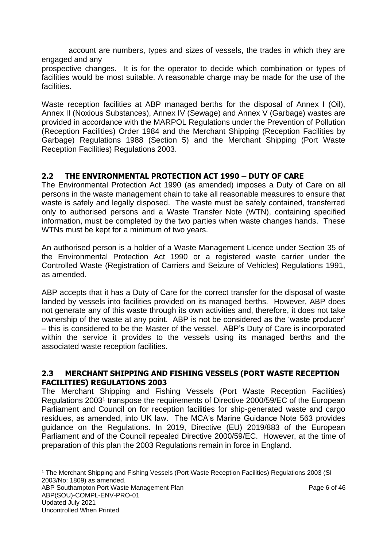account are numbers, types and sizes of vessels, the trades in which they are engaged and any

prospective changes. It is for the operator to decide which combination or types of facilities would be most suitable. A reasonable charge may be made for the use of the facilities.

Waste reception facilities at ABP managed berths for the disposal of Annex I (Oil), Annex II (Noxious Substances), Annex IV (Sewage) and Annex V (Garbage) wastes are provided in accordance with the MARPOL Regulations under the Prevention of Pollution (Reception Facilities) Order 1984 and the Merchant Shipping (Reception Facilities by Garbage) Regulations 1988 (Section 5) and the Merchant Shipping (Port Waste Reception Facilities) Regulations 2003.

# **2.2 THE ENVIRONMENTAL PROTECTION ACT 1990 – DUTY OF CARE**

The Environmental Protection Act 1990 (as amended) imposes a Duty of Care on all persons in the waste management chain to take all reasonable measures to ensure that waste is safely and legally disposed. The waste must be safely contained, transferred only to authorised persons and a Waste Transfer Note (WTN), containing specified information, must be completed by the two parties when waste changes hands. These WTNs must be kept for a minimum of two years.

An authorised person is a holder of a Waste Management Licence under Section 35 of the Environmental Protection Act 1990 or a registered waste carrier under the Controlled Waste (Registration of Carriers and Seizure of Vehicles) Regulations 1991, as amended.

ABP accepts that it has a Duty of Care for the correct transfer for the disposal of waste landed by vessels into facilities provided on its managed berths. However, ABP does not generate any of this waste through its own activities and, therefore, it does not take ownership of the waste at any point. ABP is not be considered as the 'waste producer' – this is considered to be the Master of the vessel. ABP's Duty of Care is incorporated within the service it provides to the vessels using its managed berths and the associated waste reception facilities.

### **2.3 MERCHANT SHIPPING AND FISHING VESSELS (PORT WASTE RECEPTION FACILITIES) REGULATIONS 2003**

The Merchant Shipping and Fishing Vessels (Port Waste Reception Facilities) Regulations 2003<sup>1</sup> transpose the requirements of Directive 2000/59/EC of the European Parliament and Council on for reception facilities for ship-generated waste and cargo residues, as amended, into UK law. The MCA's Marine Guidance Note 563 provides guidance on the Regulations. In 2019, Directive (EU) 2019/883 of the European Parliament and of the Council repealed Directive 2000/59/EC. However, at the time of preparation of this plan the 2003 Regulations remain in force in England.

ABP Southampton Port Waste Management Plan Page 6 of 46 ABP(SOU)-COMPL-ENV-PRO-01 Updated July 2021 <sup>1</sup> The Merchant Shipping and Fishing Vessels (Port Waste Reception Facilities) Regulations 2003 (SI 2003/No: 1809) as amended.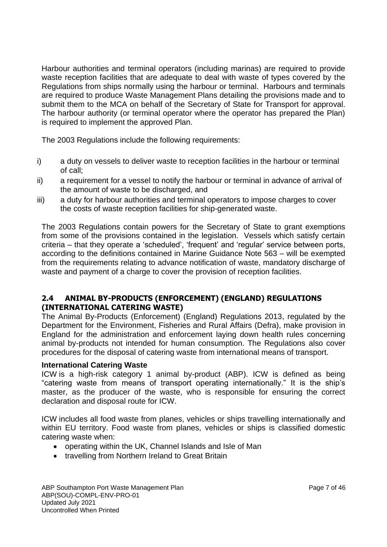Harbour authorities and terminal operators (including marinas) are required to provide waste reception facilities that are adequate to deal with waste of types covered by the Regulations from ships normally using the harbour or terminal. Harbours and terminals are required to produce Waste Management Plans detailing the provisions made and to submit them to the MCA on behalf of the Secretary of State for Transport for approval. The harbour authority (or terminal operator where the operator has prepared the Plan) is required to implement the approved Plan.

The 2003 Regulations include the following requirements:

- i) a duty on vessels to deliver waste to reception facilities in the harbour or terminal of call;
- ii) a requirement for a vessel to notify the harbour or terminal in advance of arrival of the amount of waste to be discharged, and
- iii) a duty for harbour authorities and terminal operators to impose charges to cover the costs of waste reception facilities for ship-generated waste.

The 2003 Regulations contain powers for the Secretary of State to grant exemptions from some of the provisions contained in the legislation. Vessels which satisfy certain criteria – that they operate a 'scheduled', 'frequent' and 'regular' service between ports, according to the definitions contained in Marine Guidance Note 563 – will be exempted from the requirements relating to advance notification of waste, mandatory discharge of waste and payment of a charge to cover the provision of reception facilities.

## **2.4 ANIMAL BY-PRODUCTS (ENFORCEMENT) (ENGLAND) REGULATIONS (INTERNATIONAL CATERING WASTE)**

The Animal By-Products (Enforcement) (England) Regulations 2013, regulated by the Department for the Environment, Fisheries and Rural Affairs (Defra), make provision in England for the administration and enforcement laying down health rules concerning animal by-products not intended for human consumption. The Regulations also cover procedures for the disposal of catering waste from international means of transport.

#### **International Catering Waste**

ICW is a high-risk category 1 animal by-product (ABP). ICW is defined as being "catering waste from means of transport operating internationally." It is the ship's master, as the producer of the waste, who is responsible for ensuring the correct declaration and disposal route for ICW.

ICW includes all food waste from planes, vehicles or ships travelling internationally and within EU territory. Food waste from planes, vehicles or ships is classified domestic catering waste when:

- operating within the UK, Channel Islands and Isle of Man
- travelling from Northern Ireland to Great Britain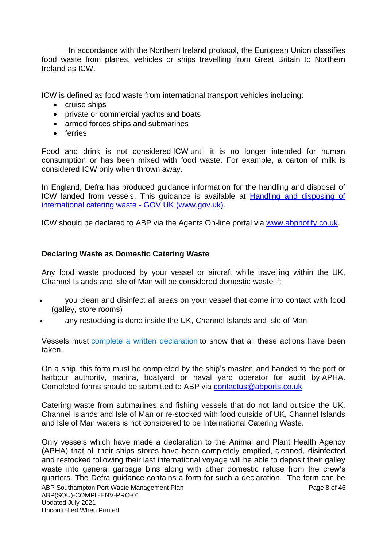In accordance with the Northern Ireland protocol, the European Union classifies food waste from planes, vehicles or ships travelling from Great Britain to Northern Ireland as ICW.

ICW is defined as food waste from international transport vehicles including:

- cruise ships
- private or commercial yachts and boats
- armed forces ships and submarines
- ferries

Food and drink is not considered ICW until it is no longer intended for human consumption or has been mixed with food waste. For example, a carton of milk is considered ICW only when thrown away.

In England, Defra has produced guidance information for the handling and disposal of ICW landed from vessels. This guidance is available at Handling and disposing of international catering waste - GOV.UK (www.gov.uk).

ICW should be declared to ABP via the Agents On-line portal via [www.abpnotify.co.uk.](http://www.abpnotify.co.uk/)

### **Declaring Waste as Domestic Catering Waste**

Any food waste produced by your vessel or aircraft while travelling within the UK, Channel Islands and Isle of Man will be considered domestic waste if:

- you clean and disinfect all areas on your vessel that come into contact with food (galley, store rooms)
- any restocking is done inside the UK, Channel Islands and Isle of Man

Vessels must complete a written [declaration](https://www.gov.uk/government/publications/declaration-of-the-disposal-of-catering-waste-from-international-means-of-transport) to show that all these actions have been taken.

On a ship, this form must be completed by the ship's master, and handed to the port or harbour authority, marina, boatyard or naval yard operator for audit by APHA. Completed forms should be submitted to ABP via [contactus@abports.co.uk.](mailto:contactus@abports.co.uk)

Catering waste from submarines and fishing vessels that do not land outside the UK, Channel Islands and Isle of Man or re-stocked with food outside of UK, Channel Islands and Isle of Man waters is not considered to be International Catering Waste.

ABP Southampton Port Waste Management Plan Page 8 of 46 ABP(SOU)-COMPL-ENV-PRO-01 Updated July 2021 Uncontrolled When Printed Only vessels which have made a declaration to the Animal and Plant Health Agency (APHA) that all their ships stores have been completely emptied, cleaned, disinfected and restocked following their last international voyage will be able to deposit their galley waste into general garbage bins along with other domestic refuse from the crew's quarters. The Defra guidance contains a form for such a declaration. The form can be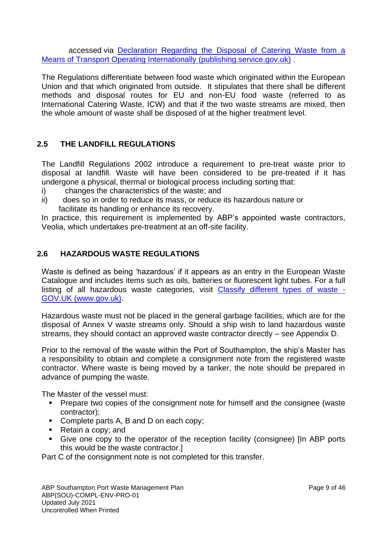accessed via Declaration Regarding the Disposal [of Catering Waste from a](https://assets.publishing.service.gov.uk/government/uploads/system/uploads/attachment_data/file/964906/form-catering-waste-declaration.pdf)  [Means of Transport Operating Internationally \(publishing.service.gov.uk\)](https://assets.publishing.service.gov.uk/government/uploads/system/uploads/attachment_data/file/964906/form-catering-waste-declaration.pdf) .

The Regulations differentiate between food waste which originated within the European Union and that which originated from outside. It stipulates that there shall be different methods and disposal routes for EU and non-EU food waste (referred to as International Catering Waste, ICW) and that if the two waste streams are mixed, then the whole amount of waste shall be disposed of at the higher treatment level.

# **2.5 THE LANDFILL REGULATIONS**

The Landfill Regulations 2002 introduce a requirement to pre-treat waste prior to disposal at landfill. Waste will have been considered to be pre-treated if it has undergone a physical, thermal or biological process including sorting that:

- i) changes the characteristics of the waste; and
- ii) does so in order to reduce its mass, or reduce its hazardous nature or facilitate its handling or enhance its recovery.

In practice, this requirement is implemented by ABP's appointed waste contractors, Veolia, which undertakes pre-treatment at an off-site facility.

# **2.6 HAZARDOUS WASTE REGULATIONS**

Waste is defined as being 'hazardous' if it appears as an entry in the European Waste Catalogue and includes items such as oils, batteries or fluorescent light tubes. For a full listing of all hazardous waste categories, visit Classify different types of waste - GOV.UK (www.gov.uk).

Hazardous waste must not be placed in the general garbage facilities, which are for the disposal of Annex V waste streams only. Should a ship wish to land hazardous waste streams, they should contact an approved waste contractor directly – see Appendix D.

Prior to the removal of the waste within the Port of Southampton, the ship's Master has a responsibility to obtain and complete a consignment note from the registered waste contractor. Where waste is being moved by a tanker, the note should be prepared in advance of pumping the waste.

The Master of the vessel must:

- Prepare two copies of the consignment note for himself and the consignee (waste contractor);
- Complete parts A, B and D on each copy;
- Retain a copy; and
- Give one copy to the operator of the reception facility (consignee) [In ABP ports this would be the waste contractor.]

Part C of the consignment note is not completed for this transfer.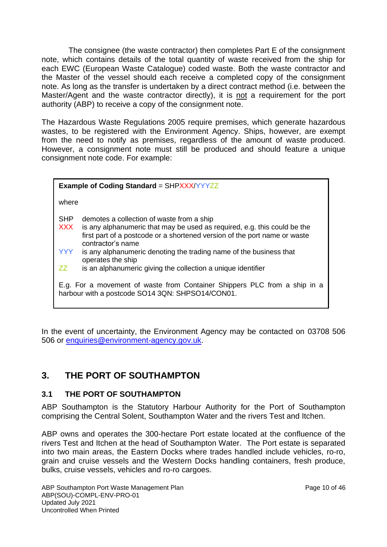The consignee (the waste contractor) then completes Part E of the consignment note, which contains details of the total quantity of waste received from the ship for each EWC (European Waste Catalogue) coded waste. Both the waste contractor and the Master of the vessel should each receive a completed copy of the consignment note. As long as the transfer is undertaken by a direct contract method (i.e. between the Master/Agent and the waste contractor directly), it is not a requirement for the port authority (ABP) to receive a copy of the consignment note.

The Hazardous Waste Regulations 2005 require premises, which generate hazardous wastes, to be registered with the Environment Agency. Ships, however, are exempt from the need to notify as premises, regardless of the amount of waste produced. However, a consignment note must still be produced and should feature a unique consignment note code. For example:

| <b>Example of Coding Standard = SHPXXX/YYYZZ</b> |                                                                                                                                                                                                                         |  |  |
|--------------------------------------------------|-------------------------------------------------------------------------------------------------------------------------------------------------------------------------------------------------------------------------|--|--|
| where                                            |                                                                                                                                                                                                                         |  |  |
| <b>SHP</b><br><b>XXX</b>                         | demotes a collection of waste from a ship<br>is any alphanumeric that may be used as required, e.g. this could be the<br>first part of a postcode or a shortened version of the port name or waste<br>contractor's name |  |  |
| <b>YYY</b><br>77                                 | is any alphanumeric denoting the trading name of the business that<br>operates the ship<br>is an alphanumeric giving the collection a unique identifier                                                                 |  |  |
|                                                  | E.g. For a movement of waste from Container Shippers PLC from a ship in a<br>harbour with a postcode SO14 3QN: SHPSO14/CON01.                                                                                           |  |  |

In the event of uncertainty, the Environment Agency may be contacted on 03708 506 506 or [enquiries@environment-agency.gov.uk.](mailto:enquiries@environment-agency.gov.uk)

# **3. THE PORT OF SOUTHAMPTON**

## **3.1 THE PORT OF SOUTHAMPTON**

ABP Southampton is the Statutory Harbour Authority for the Port of Southampton comprising the Central Solent, Southampton Water and the rivers Test and Itchen.

ABP owns and operates the 300-hectare Port estate located at the confluence of the rivers Test and Itchen at the head of Southampton Water. The Port estate is separated into two main areas, the Eastern Docks where trades handled include vehicles, ro-ro, grain and cruise vessels and the Western Docks handling containers, fresh produce, bulks, cruise vessels, vehicles and ro-ro cargoes.

ABP Southampton Port Waste Management Plan Page 10 of 46 ABP(SOU)-COMPL-ENV-PRO-01 Updated July 2021 Uncontrolled When Printed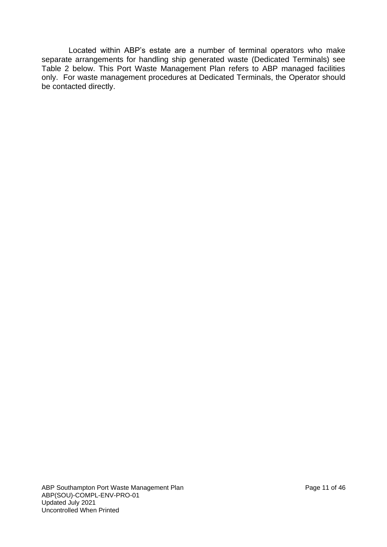Located within ABP's estate are a number of terminal operators who make separate arrangements for handling ship generated waste (Dedicated Terminals) see Table 2 below. This Port Waste Management Plan refers to ABP managed facilities only. For waste management procedures at Dedicated Terminals, the Operator should be contacted directly.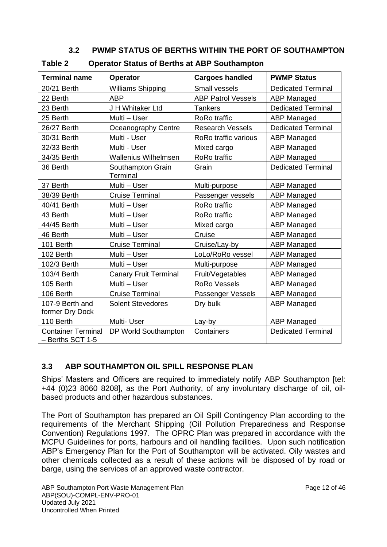# **3.2 PWMP STATUS OF BERTHS WITHIN THE PORT OF SOUTHAMPTON**

| <b>Terminal name</b>                          | <b>Operator</b>               | <b>Cargoes handled</b>                    | <b>PWMP Status</b>        |
|-----------------------------------------------|-------------------------------|-------------------------------------------|---------------------------|
| 20/21 Berth                                   | <b>Williams Shipping</b>      | Small vessels                             | <b>Dedicated Terminal</b> |
| 22 Berth                                      | <b>ABP</b>                    | <b>ABP Patrol Vessels</b>                 | <b>ABP Managed</b>        |
| 23 Berth                                      | J H Whitaker Ltd              | <b>Tankers</b>                            | <b>Dedicated Terminal</b> |
| 25 Berth                                      | Multi - User                  | RoRo traffic                              | <b>ABP Managed</b>        |
| 26/27 Berth                                   | Oceanography Centre           | <b>Research Vessels</b>                   | <b>Dedicated Terminal</b> |
| 30/31 Berth                                   | Multi - User                  | RoRo traffic various                      | <b>ABP Managed</b>        |
| 32/33 Berth                                   | Multi - User                  | Mixed cargo                               | <b>ABP Managed</b>        |
| 34/35 Berth                                   | <b>Wallenius Wilhelmsen</b>   | RoRo traffic                              | <b>ABP Managed</b>        |
| 36 Berth                                      | Southampton Grain<br>Terminal | Grain                                     | <b>Dedicated Terminal</b> |
| 37 Berth                                      | Multi - User                  | Multi-purpose                             | <b>ABP Managed</b>        |
| 38/39 Berth                                   | <b>Cruise Terminal</b>        | Passenger vessels                         | <b>ABP Managed</b>        |
| 40/41 Berth                                   | Multi - User                  | RoRo traffic                              | <b>ABP Managed</b>        |
| 43 Berth                                      | Multi - User                  | RoRo traffic                              | <b>ABP Managed</b>        |
| 44/45 Berth                                   | Multi - User                  | Mixed cargo                               | <b>ABP Managed</b>        |
| 46 Berth                                      | Multi - User                  | Cruise                                    | <b>ABP Managed</b>        |
| 101 Berth                                     | <b>Cruise Terminal</b>        | Cruise/Lay-by                             | <b>ABP Managed</b>        |
| 102 Berth                                     | Multi - User                  | LoLo/RoRo vessel                          | <b>ABP Managed</b>        |
| 102/3 Berth                                   | Multi - User                  | Multi-purpose                             | <b>ABP Managed</b>        |
| 103/4 Berth                                   | <b>Canary Fruit Terminal</b>  | Fruit/Vegetables<br><b>ABP Managed</b>    |                           |
| 105 Berth                                     | Multi - User                  | <b>RoRo Vessels</b><br><b>ABP Managed</b> |                           |
| 106 Berth                                     | <b>Cruise Terminal</b>        | <b>ABP Managed</b><br>Passenger Vessels   |                           |
| 107-9 Berth and<br>former Dry Dock            | <b>Solent Stevedores</b>      | Dry bulk                                  | <b>ABP Managed</b>        |
| 110 Berth                                     | Multi- User                   | Lay-by                                    | <b>ABP Managed</b>        |
| <b>Container Terminal</b><br>- Berths SCT 1-5 | DP World Southampton          | Containers<br><b>Dedicated Terminal</b>   |                           |

### **Table 2 Operator Status of Berths at ABP Southampton**

# **3.3 ABP SOUTHAMPTON OIL SPILL RESPONSE PLAN**

Ships' Masters and Officers are required to immediately notify ABP Southampton [tel: +44 (0)23 8060 8208], as the Port Authority, of any involuntary discharge of oil, oilbased products and other hazardous substances.

The Port of Southampton has prepared an Oil Spill Contingency Plan according to the requirements of the Merchant Shipping (Oil Pollution Preparedness and Response Convention) Regulations 1997. The OPRC Plan was prepared in accordance with the MCPU Guidelines for ports, harbours and oil handling facilities. Upon such notification ABP's Emergency Plan for the Port of Southampton will be activated. Oily wastes and other chemicals collected as a result of these actions will be disposed of by road or barge, using the services of an approved waste contractor.

ABP Southampton Port Waste Management Plan Page 12 of 46 ABP(SOU)-COMPL-ENV-PRO-01 Updated July 2021 Uncontrolled When Printed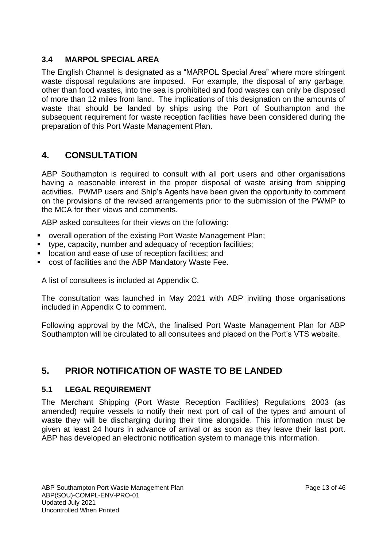# **3.4 MARPOL SPECIAL AREA**

The English Channel is designated as a "MARPOL Special Area" where more stringent waste disposal regulations are imposed. For example, the disposal of any garbage, other than food wastes, into the sea is prohibited and food wastes can only be disposed of more than 12 miles from land. The implications of this designation on the amounts of waste that should be landed by ships using the Port of Southampton and the subsequent requirement for waste reception facilities have been considered during the preparation of this Port Waste Management Plan.

# **4. CONSULTATION**

ABP Southampton is required to consult with all port users and other organisations having a reasonable interest in the proper disposal of waste arising from shipping activities. PWMP users and Ship's Agents have been given the opportunity to comment on the provisions of the revised arrangements prior to the submission of the PWMP to the MCA for their views and comments.

ABP asked consultees for their views on the following:

- overall operation of the existing Port Waste Management Plan;
- **■** type, capacity, number and adequacy of reception facilities;
- location and ease of use of reception facilities; and
- cost of facilities and the ABP Mandatory Waste Fee.

A list of consultees is included at Appendix C.

The consultation was launched in May 2021 with ABP inviting those organisations included in Appendix C to comment.

Following approval by the MCA, the finalised Port Waste Management Plan for ABP Southampton will be circulated to all consultees and placed on the Port's VTS website.

# **5. PRIOR NOTIFICATION OF WASTE TO BE LANDED**

## **5.1 LEGAL REQUIREMENT**

The Merchant Shipping (Port Waste Reception Facilities) Regulations 2003 (as amended) require vessels to notify their next port of call of the types and amount of waste they will be discharging during their time alongside. This information must be given at least 24 hours in advance of arrival or as soon as they leave their last port. ABP has developed an electronic notification system to manage this information.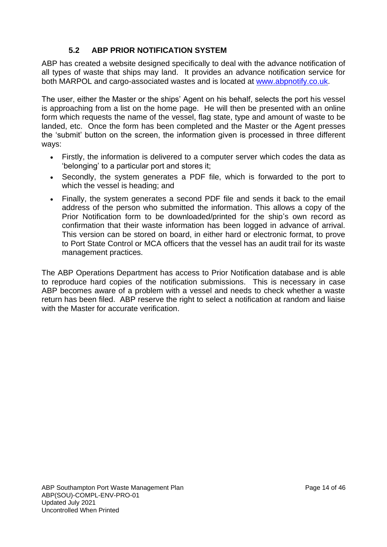# **5.2 ABP PRIOR NOTIFICATION SYSTEM**

ABP has created a website designed specifically to deal with the advance notification of all types of waste that ships may land. It provides an advance notification service for both MARPOL and cargo-associated wastes and is located at [www.abpnotify.co.uk.](http://www.abpnotify.co.uk/)

The user, either the Master or the ships' Agent on his behalf, selects the port his vessel is approaching from a list on the home page. He will then be presented with an online form which requests the name of the vessel, flag state, type and amount of waste to be landed, etc. Once the form has been completed and the Master or the Agent presses the 'submit' button on the screen, the information given is processed in three different ways:

- Firstly, the information is delivered to a computer server which codes the data as 'belonging' to a particular port and stores it;
- Secondly, the system generates a PDF file, which is forwarded to the port to which the vessel is heading; and
- Finally, the system generates a second PDF file and sends it back to the email address of the person who submitted the information. This allows a copy of the Prior Notification form to be downloaded/printed for the ship's own record as confirmation that their waste information has been logged in advance of arrival. This version can be stored on board, in either hard or electronic format, to prove to Port State Control or MCA officers that the vessel has an audit trail for its waste management practices.

The ABP Operations Department has access to Prior Notification database and is able to reproduce hard copies of the notification submissions. This is necessary in case ABP becomes aware of a problem with a vessel and needs to check whether a waste return has been filed. ABP reserve the right to select a notification at random and liaise with the Master for accurate verification.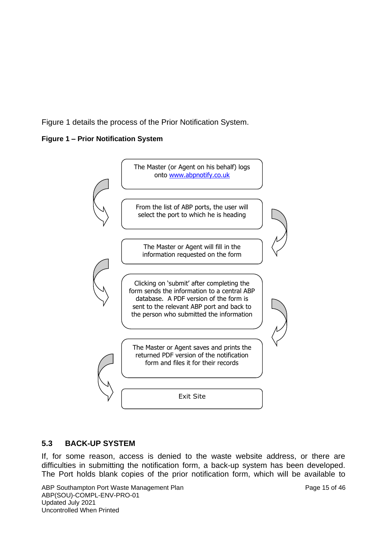Figure 1 details the process of the Prior Notification System.

#### **Figure 1 – Prior Notification System**



## **5.3 BACK-UP SYSTEM**

If, for some reason, access is denied to the waste website address, or there are difficulties in submitting the notification form, a back-up system has been developed. The Port holds blank copies of the prior notification form, which will be available to

ABP Southampton Port Waste Management Plan Page 15 of 46 ABP(SOU)-COMPL-ENV-PRO-01 Updated July 2021 Uncontrolled When Printed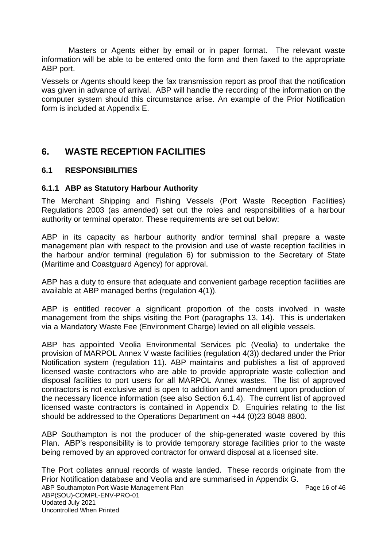Masters or Agents either by email or in paper format. The relevant waste information will be able to be entered onto the form and then faxed to the appropriate ABP port.

Vessels or Agents should keep the fax transmission report as proof that the notification was given in advance of arrival. ABP will handle the recording of the information on the computer system should this circumstance arise. An example of the Prior Notification form is included at Appendix E.

# **6. WASTE RECEPTION FACILITIES**

## **6.1 RESPONSIBILITIES**

#### **6.1.1 ABP as Statutory Harbour Authority**

The Merchant Shipping and Fishing Vessels (Port Waste Reception Facilities) Regulations 2003 (as amended) set out the roles and responsibilities of a harbour authority or terminal operator. These requirements are set out below:

ABP in its capacity as harbour authority and/or terminal shall prepare a waste management plan with respect to the provision and use of waste reception facilities in the harbour and/or terminal (regulation 6) for submission to the Secretary of State (Maritime and Coastguard Agency) for approval.

ABP has a duty to ensure that adequate and convenient garbage reception facilities are available at ABP managed berths (regulation 4(1)).

ABP is entitled recover a significant proportion of the costs involved in waste management from the ships visiting the Port (paragraphs 13, 14). This is undertaken via a Mandatory Waste Fee (Environment Charge) levied on all eligible vessels.

ABP has appointed Veolia Environmental Services plc (Veolia) to undertake the provision of MARPOL Annex V waste facilities (regulation 4(3)) declared under the Prior Notification system (regulation 11). ABP maintains and publishes a list of approved licensed waste contractors who are able to provide appropriate waste collection and disposal facilities to port users for all MARPOL Annex wastes. The list of approved contractors is not exclusive and is open to addition and amendment upon production of the necessary licence information (see also Section 6.1.4). The current list of approved licensed waste contractors is contained in Appendix D. Enquiries relating to the list should be addressed to the Operations Department on +44 (0)23 8048 8800.

ABP Southampton is not the producer of the ship-generated waste covered by this Plan. ABP's responsibility is to provide temporary storage facilities prior to the waste being removed by an approved contractor for onward disposal at a licensed site.

ABP Southampton Port Waste Management Plan ABP Southampton Page 16 of 46 ABP(SOU)-COMPL-ENV-PRO-01 Updated July 2021 Uncontrolled When Printed The Port collates annual records of waste landed. These records originate from the Prior Notification database and Veolia and are summarised in Appendix G.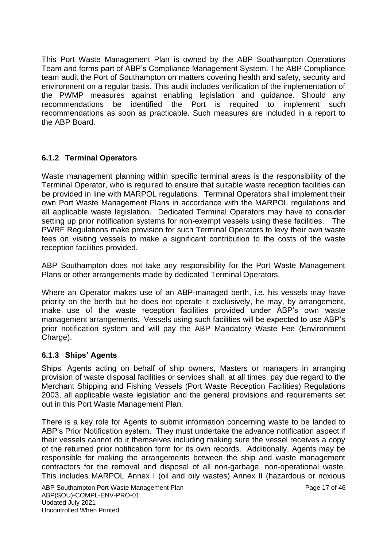This Port Waste Management Plan is owned by the ABP Southampton Operations Team and forms part of ABP's Compliance Management System. The ABP Compliance team audit the Port of Southampton on matters covering health and safety, security and environment on a regular basis. This audit includes verification of the implementation of the PWMP measures against enabling legislation and guidance. Should any recommendations be identified the Port is required to implement such recommendations as soon as practicable. Such measures are included in a report to the ABP Board.

# **6.1.2 Terminal Operators**

Waste management planning within specific terminal areas is the responsibility of the Terminal Operator, who is required to ensure that suitable waste reception facilities can be provided in line with MARPOL regulations. Terminal Operators shall implement their own Port Waste Management Plans in accordance with the MARPOL regulations and all applicable waste legislation. Dedicated Terminal Operators may have to consider setting up prior notification systems for non-exempt vessels using these facilities. The PWRF Regulations make provision for such Terminal Operators to levy their own waste fees on visiting vessels to make a significant contribution to the costs of the waste reception facilities provided.

ABP Southampton does not take any responsibility for the Port Waste Management Plans or other arrangements made by dedicated Terminal Operators.

Where an Operator makes use of an ABP-managed berth, i.e. his vessels may have priority on the berth but he does not operate it exclusively, he may, by arrangement, make use of the waste reception facilities provided under ABP's own waste management arrangements. Vessels using such facilities will be expected to use ABP's prior notification system and will pay the ABP Mandatory Waste Fee (Environment Charge).

## **6.1.3 Ships' Agents**

Ships' Agents acting on behalf of ship owners, Masters or managers in arranging provision of waste disposal facilities or services shall, at all times, pay due regard to the Merchant Shipping and Fishing Vessels (Port Waste Reception Facilities) Regulations 2003, all applicable waste legislation and the general provisions and requirements set out in this Port Waste Management Plan.

There is a key role for Agents to submit information concerning waste to be landed to ABP's Prior Notification system. They must undertake the advance notification aspect if their vessels cannot do it themselves including making sure the vessel receives a copy of the returned prior notification form for its own records. Additionally, Agents may be responsible for making the arrangements between the ship and waste management contractors for the removal and disposal of all non-garbage, non-operational waste. This includes MARPOL Annex I (oil and oily wastes) Annex II (hazardous or noxious

ABP Southampton Port Waste Management Plan Page 17 of 46 ABP(SOU)-COMPL-ENV-PRO-01 Updated July 2021 Uncontrolled When Printed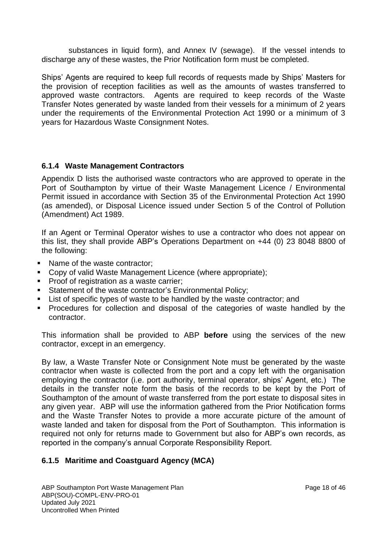substances in liquid form), and Annex IV (sewage). If the vessel intends to discharge any of these wastes, the Prior Notification form must be completed.

Ships' Agents are required to keep full records of requests made by Ships' Masters for the provision of reception facilities as well as the amounts of wastes transferred to approved waste contractors. Agents are required to keep records of the Waste Transfer Notes generated by waste landed from their vessels for a minimum of 2 years under the requirements of the Environmental Protection Act 1990 or a minimum of 3 years for Hazardous Waste Consignment Notes.

## **6.1.4 Waste Management Contractors**

Appendix D lists the authorised waste contractors who are approved to operate in the Port of Southampton by virtue of their Waste Management Licence / Environmental Permit issued in accordance with Section 35 of the Environmental Protection Act 1990 (as amended), or Disposal Licence issued under Section 5 of the Control of Pollution (Amendment) Act 1989.

If an Agent or Terminal Operator wishes to use a contractor who does not appear on this list, they shall provide ABP's Operations Department on +44 (0) 23 8048 8800 of the following:

- Name of the waste contractor;
- Copy of valid Waste Management Licence (where appropriate);
- **Proof of registration as a waste carrier;**
- Statement of the waste contractor's Environmental Policy;
- **EXECT** List of specific types of waste to be handled by the waste contractor; and
- **•** Procedures for collection and disposal of the categories of waste handled by the contractor.

This information shall be provided to ABP **before** using the services of the new contractor, except in an emergency.

By law, a Waste Transfer Note or Consignment Note must be generated by the waste contractor when waste is collected from the port and a copy left with the organisation employing the contractor (i.e. port authority, terminal operator, ships' Agent, etc.) The details in the transfer note form the basis of the records to be kept by the Port of Southampton of the amount of waste transferred from the port estate to disposal sites in any given year. ABP will use the information gathered from the Prior Notification forms and the Waste Transfer Notes to provide a more accurate picture of the amount of waste landed and taken for disposal from the Port of Southampton. This information is required not only for returns made to Government but also for ABP's own records, as reported in the company's annual Corporate Responsibility Report.

## **6.1.5 Maritime and Coastguard Agency (MCA)**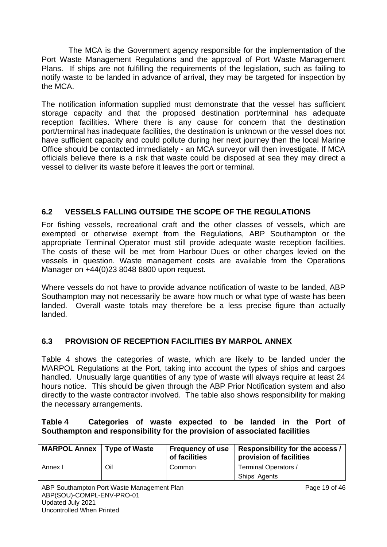The MCA is the Government agency responsible for the implementation of the Port Waste Management Regulations and the approval of Port Waste Management Plans. If ships are not fulfilling the requirements of the legislation, such as failing to notify waste to be landed in advance of arrival, they may be targeted for inspection by the MCA.

The notification information supplied must demonstrate that the vessel has sufficient storage capacity and that the proposed destination port/terminal has adequate reception facilities. Where there is any cause for concern that the destination port/terminal has inadequate facilities, the destination is unknown or the vessel does not have sufficient capacity and could pollute during her next journey then the local Marine Office should be contacted immediately - an MCA surveyor will then investigate. If MCA officials believe there is a risk that waste could be disposed at sea they may direct a vessel to deliver its waste before it leaves the port or terminal.

# **6.2 VESSELS FALLING OUTSIDE THE SCOPE OF THE REGULATIONS**

For fishing vessels, recreational craft and the other classes of vessels, which are exempted or otherwise exempt from the Regulations, ABP Southampton or the appropriate Terminal Operator must still provide adequate waste reception facilities. The costs of these will be met from Harbour Dues or other charges levied on the vessels in question. Waste management costs are available from the Operations Manager on +44(0)23 8048 8800 upon request.

Where vessels do not have to provide advance notification of waste to be landed, ABP Southampton may not necessarily be aware how much or what type of waste has been landed. Overall waste totals may therefore be a less precise figure than actually landed.

# **6.3 PROVISION OF RECEPTION FACILITIES BY MARPOL ANNEX**

Table 4 shows the categories of waste, which are likely to be landed under the MARPOL Regulations at the Port, taking into account the types of ships and cargoes handled. Unusually large quantities of any type of waste will always require at least 24 hours notice. This should be given through the ABP Prior Notification system and also directly to the waste contractor involved. The table also shows responsibility for making the necessary arrangements.

### **Table 4 Categories of waste expected to be landed in the Port of Southampton and responsibility for the provision of associated facilities**

| <b>MARPOL Annex   Type of Waste</b> |     | of facilities | Frequency of use   Responsibility for the access /<br>provision of facilities |
|-------------------------------------|-----|---------------|-------------------------------------------------------------------------------|
| Annex I                             | Oil | Common        | <b>Terminal Operators /</b>                                                   |
|                                     |     |               | Ships' Agents                                                                 |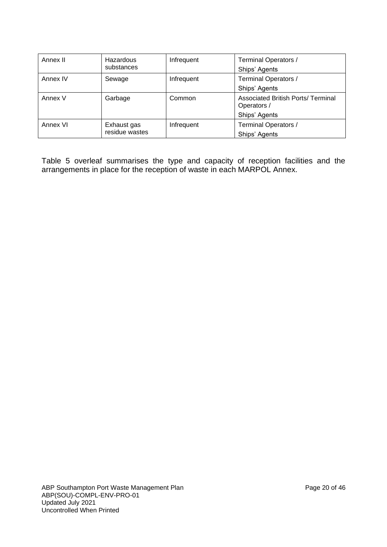| Annex II | Hazardous<br>substances       | Infrequent | Terminal Operators /<br>Ships' Agents                                     |
|----------|-------------------------------|------------|---------------------------------------------------------------------------|
| Annex IV | Sewage                        | Infrequent | Terminal Operators /<br>Ships' Agents                                     |
| Annex V  | Garbage                       | Common     | <b>Associated British Ports/ Terminal</b><br>Operators /<br>Ships' Agents |
| Annex VI | Exhaust gas<br>residue wastes | Infrequent | Terminal Operators /<br>Ships' Agents                                     |

Table 5 overleaf summarises the type and capacity of reception facilities and the arrangements in place for the reception of waste in each MARPOL Annex.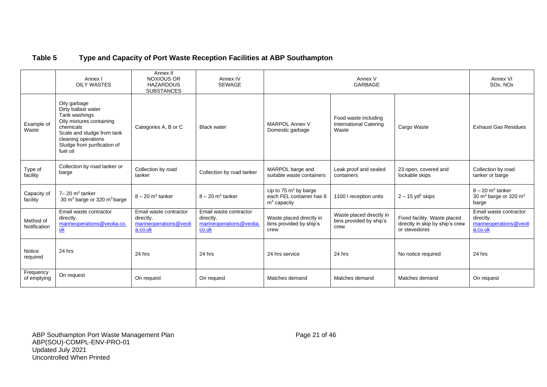### **Table 5 Type and Capacity of Port Waste Reception Facilities at ABP Southampton**

|                           | Annex I<br><b>OILY WASTES</b>                                                                                                                                                                 | Annex II<br><b>NOXIOUS OR</b><br><b>HAZARDOUS</b><br><b>SUBSTANCES</b>   | Annex IV<br><b>SEWAGE</b>                                                |                                                                     | Annex V<br><b>GARBAGE</b>                                      |                                                                                  | Annex VI<br>SOx, NOx                                                     |
|---------------------------|-----------------------------------------------------------------------------------------------------------------------------------------------------------------------------------------------|--------------------------------------------------------------------------|--------------------------------------------------------------------------|---------------------------------------------------------------------|----------------------------------------------------------------|----------------------------------------------------------------------------------|--------------------------------------------------------------------------|
| Example of<br>Waste       | Oily garbage<br>Dirty ballast water<br>Tank washings<br>Oily mixtures containing<br>chemicals<br>Scale and sludge from tank<br>cleaning operations<br>Sludge from purification of<br>fuel oil | Categories A, B or C                                                     | <b>Black water</b>                                                       | <b>MARPOL Annex V</b><br>Domestic garbage                           | Food waste including<br><b>International Catering</b><br>Waste | Cargo Waste                                                                      | <b>Exhaust Gas Residues</b>                                              |
| Type of<br>facility       | Collection by road tanker or<br>barge                                                                                                                                                         | Collection by road<br>tanker                                             | Collection by road tanker                                                | MARPOL barge and<br>suitable waste containers                       | Leak proof and sealed<br>containers                            | 23 open, covered and<br>lockable skips                                           | Collection by road<br>tanker or barge                                    |
| Capacity of<br>facility   | $7 - 20$ m <sup>3</sup> tanker<br>30 m <sup>3</sup> barge or 320 m <sup>3</sup> barge                                                                                                         | $8 - 20$ m <sup>3</sup> tanker                                           | $8 - 20$ m <sup>3</sup> tanker                                           | Up to 75 $m3$ by barge<br>each FEL container has 8<br>$m3$ capacity | 1100 I reception units                                         | $2 - 15$ yd <sup>3</sup> skips                                                   | $8 - 20$ m <sup>3</sup> tanker<br>30 $m3$ barge or 320 $m3$<br>barge     |
| Method of<br>Notification | Email waste contractor<br>directly.<br>marineoperations@veolia.co.<br>$\underline{uk}$                                                                                                        | Email waste contractor<br>directly.<br>marineoperations@veoli<br>a.co.uk | Email waste contractor<br>directly.<br>marineoperations@veolia.<br>co.uk | Waste placed directly in<br>bins provided by ship's<br>crew         | Waste placed directly in<br>bins provided by ship's<br>crew    | Fixed facility. Waste placed<br>directly in skip by ship's crew<br>or stevedores | Email waste contractor<br>directly.<br>marineoperations@veoli<br>a.co.uk |
| Notice<br>required        | 24 hrs                                                                                                                                                                                        | 24 hrs                                                                   | 24 hrs                                                                   | 24 hrs service                                                      | 24 hrs                                                         | No notice required                                                               | 24 hrs                                                                   |
| Frequency<br>of emptying  | On request                                                                                                                                                                                    | On request                                                               | On request                                                               | Matches demand                                                      | Matches demand                                                 | Matches demand                                                                   | On request                                                               |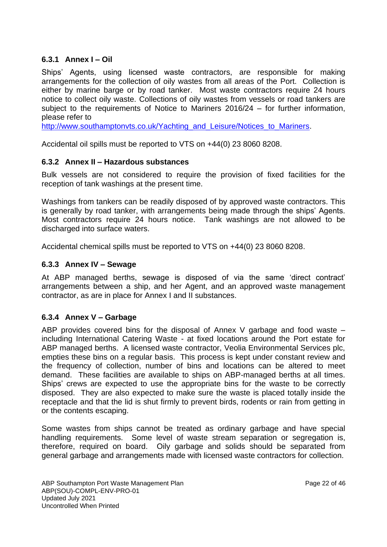## **6.3.1 Annex I – Oil**

Ships' Agents, using licensed waste contractors, are responsible for making arrangements for the collection of oily wastes from all areas of the Port. Collection is either by marine barge or by road tanker. Most waste contractors require 24 hours notice to collect oily waste. Collections of oily wastes from vessels or road tankers are subject to the requirements of Notice to Mariners 2016/24 – for further information, please refer to

[http://www.southamptonvts.co.uk/Yachting\\_and\\_Leisure/Notices\\_to\\_Mariners.](http://www.southamptonvts.co.uk/Yachting_and_Leisure/Notices_to_Mariners)

Accidental oil spills must be reported to VTS on +44(0) 23 8060 8208.

## **6.3.2 Annex II – Hazardous substances**

Bulk vessels are not considered to require the provision of fixed facilities for the reception of tank washings at the present time.

Washings from tankers can be readily disposed of by approved waste contractors. This is generally by road tanker, with arrangements being made through the ships' Agents. Most contractors require 24 hours notice. Tank washings are not allowed to be discharged into surface waters.

Accidental chemical spills must be reported to VTS on +44(0) 23 8060 8208.

### **6.3.3 Annex IV – Sewage**

At ABP managed berths, sewage is disposed of via the same 'direct contract' arrangements between a ship, and her Agent, and an approved waste management contractor, as are in place for Annex I and II substances.

## **6.3.4 Annex V – Garbage**

ABP provides covered bins for the disposal of Annex V garbage and food waste – including International Catering Waste - at fixed locations around the Port estate for ABP managed berths. A licensed waste contractor, Veolia Environmental Services plc, empties these bins on a regular basis. This process is kept under constant review and the frequency of collection, number of bins and locations can be altered to meet demand. These facilities are available to ships on ABP-managed berths at all times. Ships' crews are expected to use the appropriate bins for the waste to be correctly disposed. They are also expected to make sure the waste is placed totally inside the receptacle and that the lid is shut firmly to prevent birds, rodents or rain from getting in or the contents escaping.

Some wastes from ships cannot be treated as ordinary garbage and have special handling requirements. Some level of waste stream separation or segregation is, therefore, required on board. Oily garbage and solids should be separated from general garbage and arrangements made with licensed waste contractors for collection.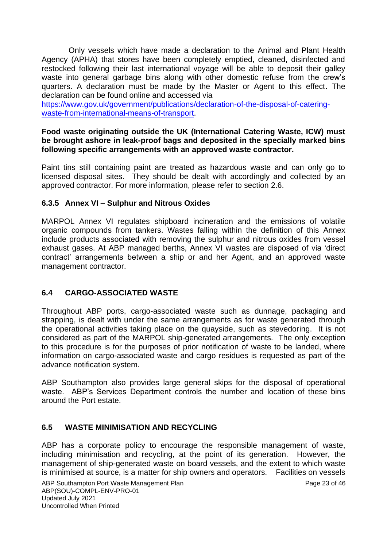Only vessels which have made a declaration to the Animal and Plant Health Agency (APHA) that stores have been completely emptied, cleaned, disinfected and restocked following their last international voyage will be able to deposit their galley waste into general garbage bins along with other domestic refuse from the crew's quarters. A declaration must be made by the Master or Agent to this effect. The declaration can be found online and accessed via

[https://www.gov.uk/government/publications/declaration-of-the-disposal-of-catering](https://www.gov.uk/government/publications/declaration-of-the-disposal-of-catering-waste-from-international-means-of-transport)[waste-from-international-means-of-transport.](https://www.gov.uk/government/publications/declaration-of-the-disposal-of-catering-waste-from-international-means-of-transport)

#### **Food waste originating outside the UK (International Catering Waste, ICW) must be brought ashore in leak-proof bags and deposited in the specially marked bins following specific arrangements with an approved waste contractor.**

Paint tins still containing paint are treated as hazardous waste and can only go to licensed disposal sites. They should be dealt with accordingly and collected by an approved contractor. For more information, please refer to section 2.6.

### **6.3.5 Annex VI – Sulphur and Nitrous Oxides**

MARPOL Annex VI regulates shipboard incineration and the emissions of volatile organic compounds from tankers. Wastes falling within the definition of this Annex include products associated with removing the sulphur and nitrous oxides from vessel exhaust gases. At ABP managed berths, Annex VI wastes are disposed of via 'direct contract' arrangements between a ship or and her Agent, and an approved waste management contractor.

## **6.4 CARGO-ASSOCIATED WASTE**

Throughout ABP ports, cargo-associated waste such as dunnage, packaging and strapping, is dealt with under the same arrangements as for waste generated through the operational activities taking place on the quayside, such as stevedoring. It is not considered as part of the MARPOL ship-generated arrangements. The only exception to this procedure is for the purposes of prior notification of waste to be landed, where information on cargo-associated waste and cargo residues is requested as part of the advance notification system.

ABP Southampton also provides large general skips for the disposal of operational waste. ABP's Services Department controls the number and location of these bins around the Port estate.

## **6.5 WASTE MINIMISATION AND RECYCLING**

ABP has a corporate policy to encourage the responsible management of waste, including minimisation and recycling, at the point of its generation. However, the management of ship-generated waste on board vessels, and the extent to which waste is minimised at source, is a matter for ship owners and operators. Facilities on vessels

ABP Southampton Port Waste Management Plan Page 23 of 46 ABP(SOU)-COMPL-ENV-PRO-01 Updated July 2021 Uncontrolled When Printed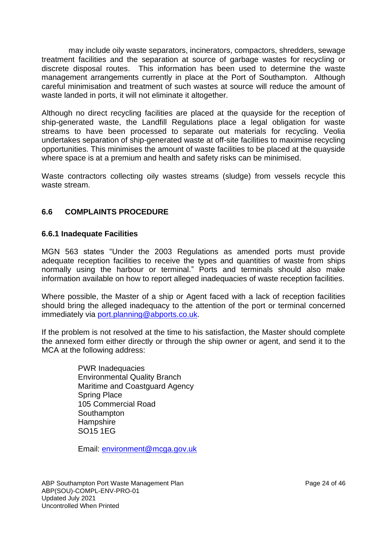may include oily waste separators, incinerators, compactors, shredders, sewage treatment facilities and the separation at source of garbage wastes for recycling or discrete disposal routes. This information has been used to determine the waste management arrangements currently in place at the Port of Southampton. Although careful minimisation and treatment of such wastes at source will reduce the amount of waste landed in ports, it will not eliminate it altogether.

Although no direct recycling facilities are placed at the quayside for the reception of ship-generated waste, the Landfill Regulations place a legal obligation for waste streams to have been processed to separate out materials for recycling. Veolia undertakes separation of ship-generated waste at off-site facilities to maximise recycling opportunities. This minimises the amount of waste facilities to be placed at the quayside where space is at a premium and health and safety risks can be minimised.

Waste contractors collecting oily wastes streams (sludge) from vessels recycle this waste stream.

# **6.6 COMPLAINTS PROCEDURE**

#### **6.6.1 Inadequate Facilities**

MGN 563 states "Under the 2003 Regulations as amended ports must provide adequate reception facilities to receive the types and quantities of waste from ships normally using the harbour or terminal." Ports and terminals should also make information available on how to report alleged inadequacies of waste reception facilities.

Where possible, the Master of a ship or Agent faced with a lack of reception facilities should bring the alleged inadequacy to the attention of the port or terminal concerned immediately via [port.planning@abports.co.uk.](mailto:port.planning@abports.co.uk)

If the problem is not resolved at the time to his satisfaction, the Master should complete the annexed form either directly or through the ship owner or agent, and send it to the MCA at the following address:

> PWR Inadequacies Environmental Quality Branch Maritime and Coastguard Agency Spring Place 105 Commercial Road **Southampton Hampshire** SO15 1EG

Email: [environment@mcga.gov.uk](mailto:environment@mcga.gov.uk)

ABP Southampton Port Waste Management Plan Page 24 of 46 ABP(SOU)-COMPL-ENV-PRO-01 Updated July 2021 Uncontrolled When Printed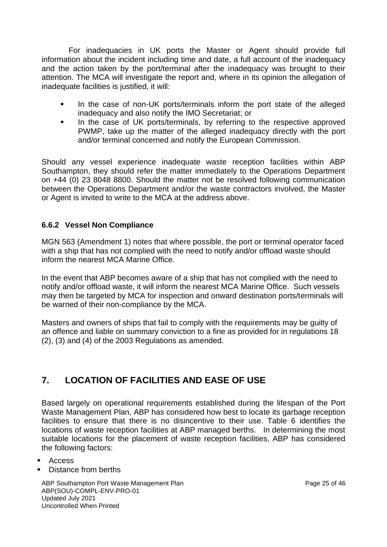For inadequacies in UK ports the Master or Agent should provide full information about the incident including time and date, a full account of the inadequacy and the action taken by the port/terminal after the inadequacy was brought to their attention. The MCA will investigate the report and, where in its opinion the allegation of inadequate facilities is justified, it will:

- In the case of non-UK ports/terminals inform the port state of the alleged inadequacy and also notify the IMO Secretariat; or
- **•** In the case of UK ports/terminals, by referring to the respective approved PWMP, take up the matter of the alleged inadequacy directly with the port and/or terminal concerned and notify the European Commission.

Should any vessel experience inadequate waste reception facilities within ABP Southampton, they should refer the matter immediately to the Operations Department on +44 (0) 23 8048 8800. Should the matter not be resolved following communication between the Operations Department and/or the waste contractors involved, the Master or Agent is invited to write to the MCA at the address above.

# **6.6.2 Vessel Non Compliance**

MGN 563 (Amendment 1) notes that where possible, the port or terminal operator faced with a ship that has not complied with the need to notify and/or offload waste should inform the nearest MCA Marine Office.

In the event that ABP becomes aware of a ship that has not complied with the need to notify and/or offload waste, it will inform the nearest MCA Marine Office. Such vessels may then be targeted by MCA for inspection and onward destination ports/terminals will be warned of their non-compliance by the MCA.

Masters and owners of ships that fail to comply with the requirements may be guilty of an offence and liable on summary conviction to a fine as provided for in regulations 18 (2), (3) and (4) of the 2003 Regulations as amended.

# **7. LOCATION OF FACILITIES AND EASE OF USE**

Based largely on operational requirements established during the lifespan of the Port Waste Management Plan, ABP has considered how best to locate its garbage reception facilities to ensure that there is no disincentive to their use. Table 6 identifies the locations of waste reception facilities at ABP managed berths. In determining the most suitable locations for the placement of waste reception facilities, ABP has considered the following factors:

- Access
- Distance from berths

ABP Southampton Port Waste Management Plan Page 25 of 46 ABP(SOU)-COMPL-ENV-PRO-01 Updated July 2021 Uncontrolled When Printed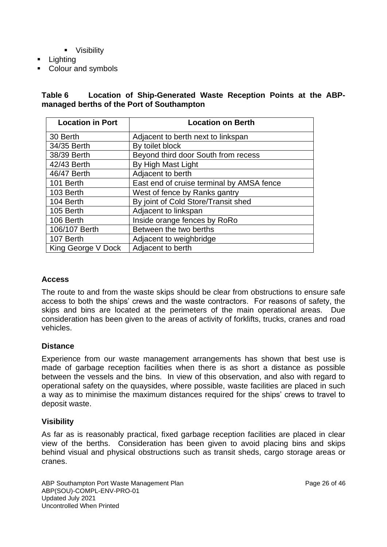- Visibility
- Lighting
- **Colour and symbols**

### **Table 6 Location of Ship-Generated Waste Reception Points at the ABPmanaged berths of the Port of Southampton**

| <b>Location in Port</b> | <b>Location on Berth</b>                  |
|-------------------------|-------------------------------------------|
| 30 Berth                | Adjacent to berth next to linkspan        |
| 34/35 Berth             | By toilet block                           |
| 38/39 Berth             | Beyond third door South from recess       |
| 42/43 Berth             | By High Mast Light                        |
| 46/47 Berth             | Adjacent to berth                         |
| 101 Berth               | East end of cruise terminal by AMSA fence |
| 103 Berth               | West of fence by Ranks gantry             |
| 104 Berth               | By joint of Cold Store/Transit shed       |
| 105 Berth               | Adjacent to linkspan                      |
| 106 Berth               | Inside orange fences by RoRo              |
| 106/107 Berth           | Between the two berths                    |
| 107 Berth               | Adjacent to weighbridge                   |
| King George V Dock      | Adjacent to berth                         |

#### **Access**

The route to and from the waste skips should be clear from obstructions to ensure safe access to both the ships' crews and the waste contractors. For reasons of safety, the skips and bins are located at the perimeters of the main operational areas. Due consideration has been given to the areas of activity of forklifts, trucks, cranes and road vehicles.

#### **Distance**

Experience from our waste management arrangements has shown that best use is made of garbage reception facilities when there is as short a distance as possible between the vessels and the bins. In view of this observation, and also with regard to operational safety on the quaysides, where possible, waste facilities are placed in such a way as to minimise the maximum distances required for the ships' crews to travel to deposit waste.

## **Visibility**

As far as is reasonably practical, fixed garbage reception facilities are placed in clear view of the berths. Consideration has been given to avoid placing bins and skips behind visual and physical obstructions such as transit sheds, cargo storage areas or cranes.

ABP Southampton Port Waste Management Plan Page 26 of 46 ABP(SOU)-COMPL-ENV-PRO-01 Updated July 2021 Uncontrolled When Printed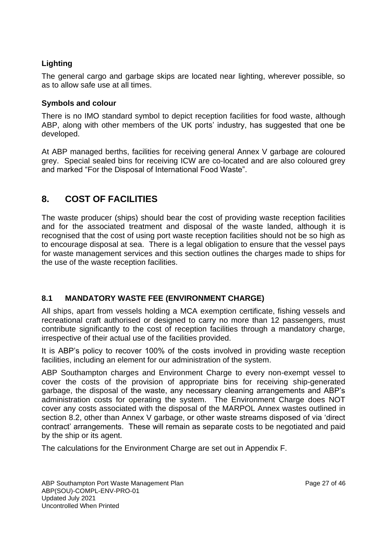# **Lighting**

The general cargo and garbage skips are located near lighting, wherever possible, so as to allow safe use at all times.

### **Symbols and colour**

There is no IMO standard symbol to depict reception facilities for food waste, although ABP, along with other members of the UK ports' industry, has suggested that one be developed.

At ABP managed berths, facilities for receiving general Annex V garbage are coloured grey. Special sealed bins for receiving ICW are co-located and are also coloured grey and marked "For the Disposal of International Food Waste".

# **8. COST OF FACILITIES**

The waste producer (ships) should bear the cost of providing waste reception facilities and for the associated treatment and disposal of the waste landed, although it is recognised that the cost of using port waste reception facilities should not be so high as to encourage disposal at sea. There is a legal obligation to ensure that the vessel pays for waste management services and this section outlines the charges made to ships for the use of the waste reception facilities.

# **8.1 MANDATORY WASTE FEE (ENVIRONMENT CHARGE)**

All ships, apart from vessels holding a MCA exemption certificate, fishing vessels and recreational craft authorised or designed to carry no more than 12 passengers, must contribute significantly to the cost of reception facilities through a mandatory charge, irrespective of their actual use of the facilities provided.

It is ABP's policy to recover 100% of the costs involved in providing waste reception facilities, including an element for our administration of the system.

ABP Southampton charges and Environment Charge to every non-exempt vessel to cover the costs of the provision of appropriate bins for receiving ship-generated garbage, the disposal of the waste, any necessary cleaning arrangements and ABP's administration costs for operating the system. The Environment Charge does NOT cover any costs associated with the disposal of the MARPOL Annex wastes outlined in section 8.2, other than Annex V garbage, or other waste streams disposed of via 'direct contract' arrangements. These will remain as separate costs to be negotiated and paid by the ship or its agent.

The calculations for the Environment Charge are set out in Appendix F.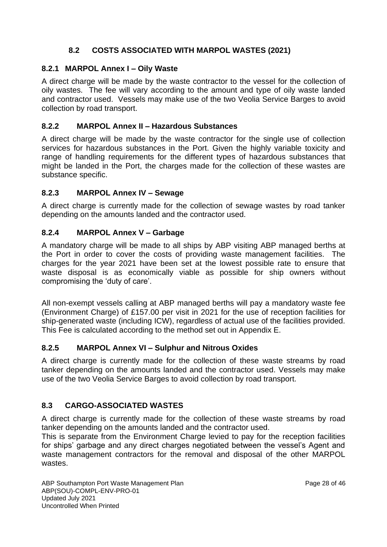# **8.2 COSTS ASSOCIATED WITH MARPOL WASTES (2021)**

### **8.2.1 MARPOL Annex I – Oily Waste**

A direct charge will be made by the waste contractor to the vessel for the collection of oily wastes. The fee will vary according to the amount and type of oily waste landed and contractor used. Vessels may make use of the two Veolia Service Barges to avoid collection by road transport.

#### **8.2.2 MARPOL Annex II – Hazardous Substances**

A direct charge will be made by the waste contractor for the single use of collection services for hazardous substances in the Port. Given the highly variable toxicity and range of handling requirements for the different types of hazardous substances that might be landed in the Port, the charges made for the collection of these wastes are substance specific.

### **8.2.3 MARPOL Annex IV – Sewage**

A direct charge is currently made for the collection of sewage wastes by road tanker depending on the amounts landed and the contractor used.

### **8.2.4 MARPOL Annex V – Garbage**

A mandatory charge will be made to all ships by ABP visiting ABP managed berths at the Port in order to cover the costs of providing waste management facilities. The charges for the year 2021 have been set at the lowest possible rate to ensure that waste disposal is as economically viable as possible for ship owners without compromising the 'duty of care'.

All non-exempt vessels calling at ABP managed berths will pay a mandatory waste fee (Environment Charge) of £157.00 per visit in 2021 for the use of reception facilities for ship-generated waste (including ICW), regardless of actual use of the facilities provided. This Fee is calculated according to the method set out in Appendix E.

#### **8.2.5 MARPOL Annex VI – Sulphur and Nitrous Oxides**

A direct charge is currently made for the collection of these waste streams by road tanker depending on the amounts landed and the contractor used. Vessels may make use of the two Veolia Service Barges to avoid collection by road transport.

## **8.3 CARGO-ASSOCIATED WASTES**

A direct charge is currently made for the collection of these waste streams by road tanker depending on the amounts landed and the contractor used.

This is separate from the Environment Charge levied to pay for the reception facilities for ships' garbage and any direct charges negotiated between the vessel's Agent and waste management contractors for the removal and disposal of the other MARPOL wastes.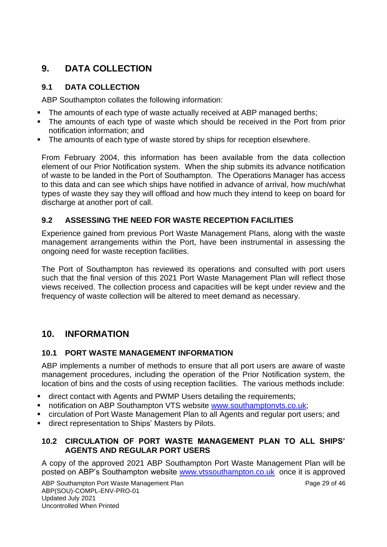# **9. DATA COLLECTION**

# **9.1 DATA COLLECTION**

ABP Southampton collates the following information:

- **The amounts of each type of waste actually received at ABP managed berths;**
- The amounts of each type of waste which should be received in the Port from prior notification information; and
- The amounts of each type of waste stored by ships for reception elsewhere.

From February 2004, this information has been available from the data collection element of our Prior Notification system. When the ship submits its advance notification of waste to be landed in the Port of Southampton. The Operations Manager has access to this data and can see which ships have notified in advance of arrival, how much/what types of waste they say they will offload and how much they intend to keep on board for discharge at another port of call.

# **9.2 ASSESSING THE NEED FOR WASTE RECEPTION FACILITIES**

Experience gained from previous Port Waste Management Plans, along with the waste management arrangements within the Port, have been instrumental in assessing the ongoing need for waste reception facilities.

The Port of Southampton has reviewed its operations and consulted with port users such that the final version of this 2021 Port Waste Management Plan will reflect those views received. The collection process and capacities will be kept under review and the frequency of waste collection will be altered to meet demand as necessary.

# **10. INFORMATION**

## **10.1 PORT WASTE MANAGEMENT INFORMATION**

ABP implements a number of methods to ensure that all port users are aware of waste management procedures, including the operation of the Prior Notification system, the location of bins and the costs of using reception facilities. The various methods include:

- **E** direct contact with Agents and PWMP Users detailing the requirements:
- notification on ABP Southampton VTS website [www.southamptonvts.co.uk;](http://www.southamptonvts.co.uk/)
- circulation of Port Waste Management Plan to all Agents and regular port users; and
- **E** direct representation to Ships' Masters by Pilots.

## **10.2 CIRCULATION OF PORT WASTE MANAGEMENT PLAN TO ALL SHIPS' AGENTS AND REGULAR PORT USERS**

A copy of the approved 2021 ABP Southampton Port Waste Management Plan will be posted on ABP's Southampton website [www.vtssouthampton.co.uk](http://www.vtssouthampton.co.uk/) once it is approved

ABP Southampton Port Waste Management Plan Page 29 of 46 ABP(SOU)-COMPL-ENV-PRO-01 Updated July 2021 Uncontrolled When Printed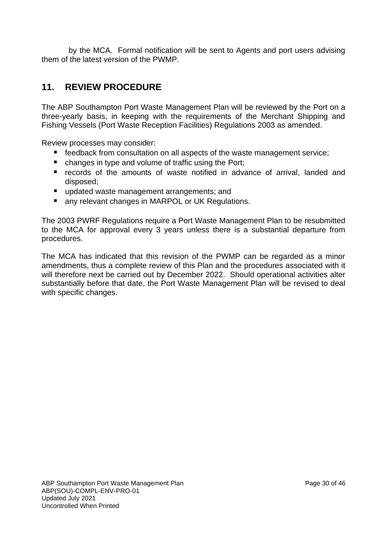by the MCA. Formal notification will be sent to Agents and port users advising them of the latest version of the PWMP.

# **11. REVIEW PROCEDURE**

The ABP Southampton Port Waste Management Plan will be reviewed by the Port on a three-yearly basis, in keeping with the requirements of the Merchant Shipping and Fishing Vessels (Port Waste Reception Facilities) Regulations 2003 as amended.

Review processes may consider:

- feedback from consultation on all aspects of the waste management service;
- changes in type and volume of traffic using the Port;
- records of the amounts of waste notified in advance of arrival, landed and disposed;
- updated waste management arrangements; and
- any relevant changes in MARPOL or UK Regulations.

The 2003 PWRF Regulations require a Port Waste Management Plan to be resubmitted to the MCA for approval every 3 years unless there is a substantial departure from procedures.

The MCA has indicated that this revision of the PWMP can be regarded as a minor amendments, thus a complete review of this Plan and the procedures associated with it will therefore next be carried out by December 2022. Should operational activities alter substantially before that date, the Port Waste Management Plan will be revised to deal with specific changes.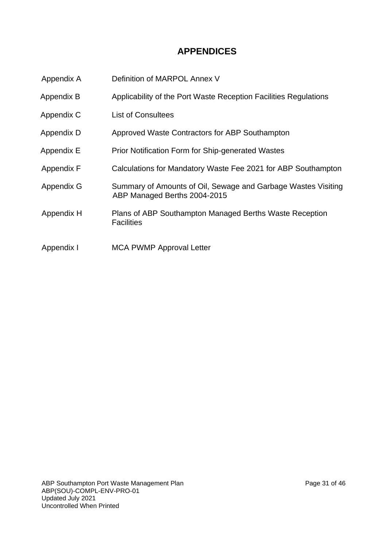# **APPENDICES**

- Appendix A Definition of MARPOL Annex V
- Appendix B Applicability of the Port Waste Reception Facilities Regulations
- Appendix C List of Consultees
- Appendix D Approved Waste Contractors for ABP Southampton
- Appendix E Prior Notification Form for Ship-generated Wastes
- Appendix F Calculations for Mandatory Waste Fee 2021 for ABP Southampton
- Appendix G Summary of Amounts of Oil, Sewage and Garbage Wastes Visiting ABP Managed Berths 2004-2015
- Appendix H Plans of ABP Southampton Managed Berths Waste Reception **Facilities**
- Appendix I MCA PWMP Approval Letter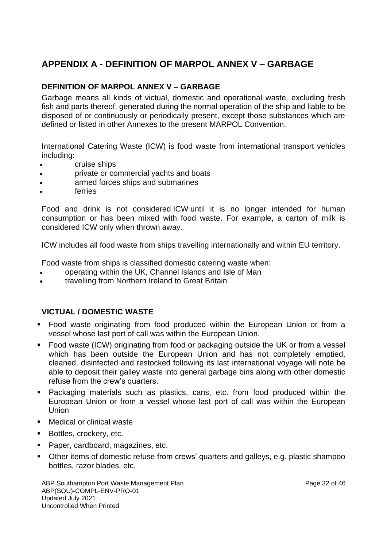# **APPENDIX A - DEFINITION OF MARPOL ANNEX V – GARBAGE**

## **DEFINITION OF MARPOL ANNEX V – GARBAGE**

Garbage means all kinds of victual, domestic and operational waste, excluding fresh fish and parts thereof, generated during the normal operation of the ship and liable to be disposed of or continuously or periodically present, except those substances which are defined or listed in other Annexes to the present MARPOL Convention.

International Catering Waste (ICW) is food waste from international transport vehicles including:

- cruise ships
- private or commercial yachts and boats
- armed forces ships and submarines
- **ferries**

Food and drink is not considered ICW until it is no longer intended for human consumption or has been mixed with food waste. For example, a carton of milk is considered ICW only when thrown away.

ICW includes all food waste from ships travelling internationally and within EU territory.

Food waste from ships is classified domestic catering waste when:

- operating within the UK, Channel Islands and Isle of Man
- travelling from Northern Ireland to Great Britain

#### **VICTUAL / DOMESTIC WASTE**

- Food waste originating from food produced within the European Union or from a vessel whose last port of call was within the European Union.
- Food waste (ICW) originating from food or packaging outside the UK or from a vessel which has been outside the European Union and has not completely emptied. cleaned, disinfected and restocked following its last international voyage will note be able to deposit their galley waste into general garbage bins along with other domestic refuse from the crew's quarters.
- Packaging materials such as plastics, cans, etc. from food produced within the European Union or from a vessel whose last port of call was within the European Union
- Medical or clinical waste
- Bottles, crockery, etc.
- Paper, cardboard, magazines, etc.
- Other items of domestic refuse from crews' quarters and galleys, e.g. plastic shampoo bottles, razor blades, etc.

ABP Southampton Port Waste Management Plan Page 32 of 46 ABP(SOU)-COMPL-ENV-PRO-01 Updated July 2021 Uncontrolled When Printed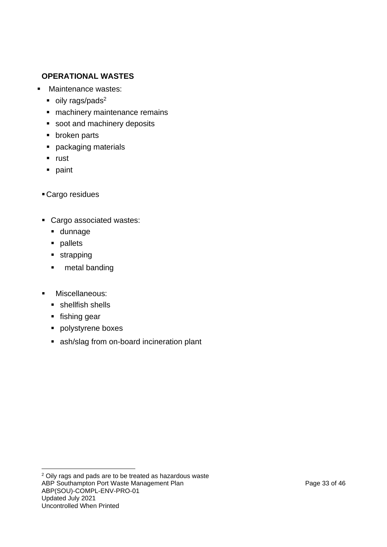# **OPERATIONAL WASTES**

- Maintenance wastes:
	- $\bullet$  oily rags/pads<sup>2</sup>
	- **E** machinery maintenance remains
	- soot and machinery deposits
	- broken parts
	- packaging materials
	- rust
	- paint
	- **Cargo residues**
	- Cargo associated wastes:
		- dunnage
		- pallets
		- strapping
		- metal banding
	- Miscellaneous:
		- shellfish shells
		- fishing gear
		- polystyrene boxes
		- ash/slag from on-board incineration plant

ABP Southampton Port Waste Management Plan Page 33 of 46 ABP(SOU)-COMPL-ENV-PRO-01 Updated July 2021 Uncontrolled When Printed <sup>2</sup> Oily rags and pads are to be treated as hazardous waste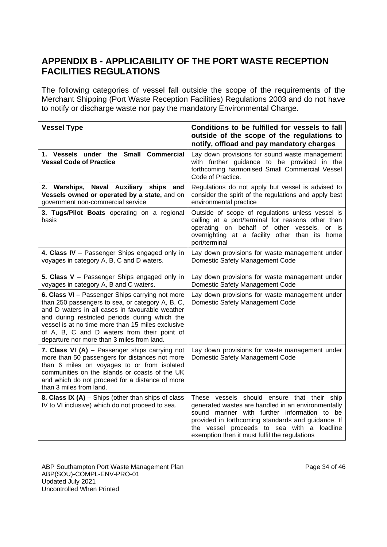# **APPENDIX B - APPLICABILITY OF THE PORT WASTE RECEPTION FACILITIES REGULATIONS**

The following categories of vessel fall outside the scope of the requirements of the Merchant Shipping (Port Waste Reception Facilities) Regulations 2003 and do not have to notify or discharge waste nor pay the mandatory Environmental Charge.

| <b>Vessel Type</b>                                                                                                                                                                                                                                                                                                                                         | Conditions to be fulfilled for vessels to fall<br>outside of the scope of the regulations to<br>notify, offload and pay mandatory charges                                                                                                                                                                |
|------------------------------------------------------------------------------------------------------------------------------------------------------------------------------------------------------------------------------------------------------------------------------------------------------------------------------------------------------------|----------------------------------------------------------------------------------------------------------------------------------------------------------------------------------------------------------------------------------------------------------------------------------------------------------|
| 1. Vessels under the Small Commercial<br><b>Vessel Code of Practice</b>                                                                                                                                                                                                                                                                                    | Lay down provisions for sound waste management<br>with further guidance to be provided in the<br>forthcoming harmonised Small Commercial Vessel<br>Code of Practice.                                                                                                                                     |
| 2. Warships, Naval Auxiliary ships and<br>Vessels owned or operated by a state, and on<br>government non-commercial service                                                                                                                                                                                                                                | Regulations do not apply but vessel is advised to<br>consider the spirit of the regulations and apply best<br>environmental practice                                                                                                                                                                     |
| 3. Tugs/Pilot Boats operating on a regional<br>basis                                                                                                                                                                                                                                                                                                       | Outside of scope of regulations unless vessel is<br>calling at a port/terminal for reasons other than<br>operating on behalf of other vessels, or is<br>overnighting at a facility other than its home<br>port/terminal                                                                                  |
| 4. Class IV - Passenger Ships engaged only in<br>voyages in category A, B, C and D waters.                                                                                                                                                                                                                                                                 | Lay down provisions for waste management under<br>Domestic Safety Management Code                                                                                                                                                                                                                        |
| 5. Class V - Passenger Ships engaged only in<br>voyages in category A, B and C waters.                                                                                                                                                                                                                                                                     | Lay down provisions for waste management under<br>Domestic Safety Management Code                                                                                                                                                                                                                        |
| 6. Class VI - Passenger Ships carrying not more<br>than 250 passengers to sea, or category A, B, C,<br>and D waters in all cases in favourable weather<br>and during restricted periods during which the<br>vessel is at no time more than 15 miles exclusive<br>of A, B, C and D waters from their point of<br>departure nor more than 3 miles from land. | Lay down provisions for waste management under<br>Domestic Safety Management Code                                                                                                                                                                                                                        |
| 7. Class VI (A) - Passenger ships carrying not<br>more than 50 passengers for distances not more<br>than 6 miles on voyages to or from isolated<br>communities on the islands or coasts of the UK<br>and which do not proceed for a distance of more<br>than 3 miles from land.                                                                            | Lay down provisions for waste management under<br>Domestic Safety Management Code                                                                                                                                                                                                                        |
| <b>8. Class IX (A)</b> $-$ Ships (other than ships of class<br>IV to VI inclusive) which do not proceed to sea.                                                                                                                                                                                                                                            | These vessels should ensure that their ship<br>generated wastes are handled in an environmentally<br>sound manner with further information to be<br>provided in forthcoming standards and guidance. If<br>the vessel proceeds to sea with a<br>loadline<br>exemption then it must fulfil the regulations |

ABP Southampton Port Waste Management Plan Page 34 of 46 ABP(SOU)-COMPL-ENV-PRO-01 Updated July 2021 Uncontrolled When Printed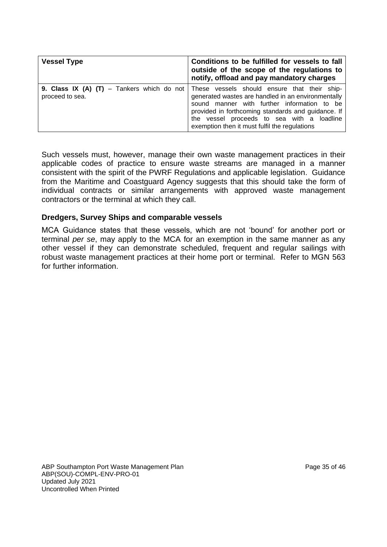| <b>Vessel Type</b> | Conditions to be fulfilled for vessels to fall<br>outside of the scope of the regulations to<br>notify, offload and pay mandatory charges                                                                                                                                                                                                                |  |  |  |  |
|--------------------|----------------------------------------------------------------------------------------------------------------------------------------------------------------------------------------------------------------------------------------------------------------------------------------------------------------------------------------------------------|--|--|--|--|
| proceed to sea.    | <b>9. Class IX (A) (T)</b> – Tankers which do not These vessels should ensure that their ship-<br>generated wastes are handled in an environmentally<br>sound manner with further information to be<br>provided in forthcoming standards and guidance. If<br>the vessel proceeds to sea with a loadline<br>exemption then it must fulfil the regulations |  |  |  |  |

Such vessels must, however, manage their own waste management practices in their applicable codes of practice to ensure waste streams are managed in a manner consistent with the spirit of the PWRF Regulations and applicable legislation. Guidance from the Maritime and Coastguard Agency suggests that this should take the form of individual contracts or similar arrangements with approved waste management contractors or the terminal at which they call.

#### **Dredgers, Survey Ships and comparable vessels**

MCA Guidance states that these vessels, which are not 'bound' for another port or terminal *per se*, may apply to the MCA for an exemption in the same manner as any other vessel if they can demonstrate scheduled, frequent and regular sailings with robust waste management practices at their home port or terminal. Refer to MGN 563 for further information.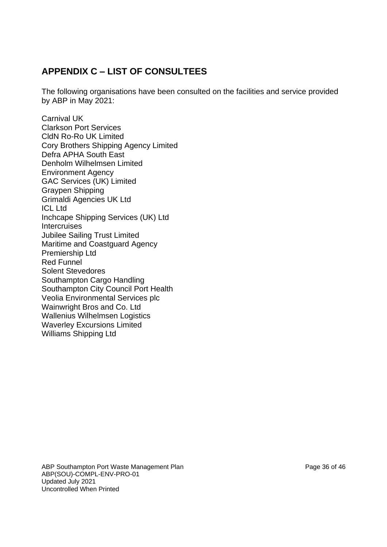# **APPENDIX C – LIST OF CONSULTEES**

The following organisations have been consulted on the facilities and service provided by ABP in May 2021:

Carnival UK Clarkson Port Services CldN Ro-Ro UK Limited Cory Brothers Shipping Agency Limited Defra APHA South East Denholm Wilhelmsen Limited Environment Agency GAC Services (UK) Limited Graypen Shipping Grimaldi Agencies UK Ltd ICL Ltd Inchcape Shipping Services (UK) Ltd **Intercruises** Jubilee Sailing Trust Limited Maritime and Coastguard Agency Premiership Ltd Red Funnel Solent Stevedores Southampton Cargo Handling Southampton City Council Port Health Veolia Environmental Services plc Wainwright Bros and Co. Ltd Wallenius Wilhelmsen Logistics Waverley Excursions Limited Williams Shipping Ltd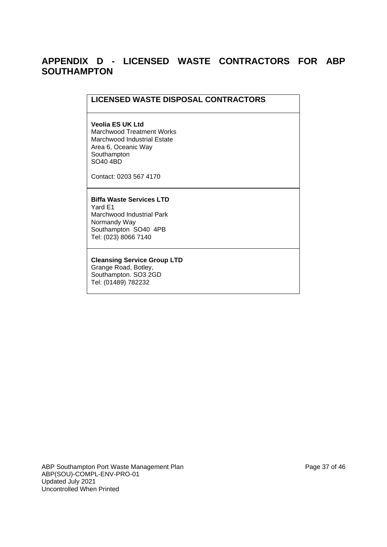# **APPENDIX D - LICENSED WASTE CONTRACTORS FOR ABP SOUTHAMPTON**

#### **LICENSED WASTE DISPOSAL CONTRACTORS**

#### **Veolia ES UK Ltd**

Marchwood Treatment Works Marchwood Industrial Estate Area 6, Oceanic Way **Southampton** SO40 4BD

Contact: 0203 567 4170

**Biffa Waste Services LTD** Yard E1 Marchwood Industrial Park Normandy Way Southampton SO40 4PB Tel: (023) 8066 7140

**Cleansing Service Group LTD** Grange Road, Botley, Southampton. SO3 2GD Tel: (01489) 782232

ABP Southampton Port Waste Management Plan Page 37 of 46 ABP(SOU)-COMPL-ENV-PRO-01 Updated July 2021 Uncontrolled When Printed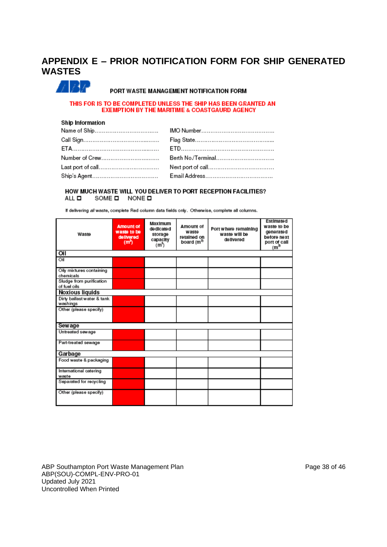# **APPENDIX E – PRIOR NOTIFICATION FORM FOR SHIP GENERATED WASTES**



#### PORT WASTE MANAGEMENT NOTIFICATION FORM

#### THIS FOR IS TO BE COMPLETED UNLESS THE SHIP HAS BEEN GRANTED AN **EXEMPTION BY THE MARITIME & COASTGAURD AGENCY**

#### Ship Information

| Number of Crew           | Berth No/Terminal |
|--------------------------|-------------------|
| Last port of call        |                   |
| Ship's Agent……………………………… |                   |

#### HOW MUCH WASTE WILL YOU DELIVER TO PORT RECEPTION FACILITIES? SOME **D** NONE **D** ALL **D**

If delivering all waste, complete Red column data fields only. Otherwise, complete all columns.

| <b>Amount of</b><br>waste to be<br>Waste<br>delivered<br>(m <sup>3</sup> ) |  | Maximum<br>dedicated<br>storage<br>capacity<br>(m <sup>3</sup> ) | Amount of<br>waste<br>retained on<br>board (m <sup>3)</sup> | Port where remaining<br>waste will be<br>delivered | Estimated<br>waste to be<br>generated<br>before next<br>port of call<br>$(m^3)$ |  |
|----------------------------------------------------------------------------|--|------------------------------------------------------------------|-------------------------------------------------------------|----------------------------------------------------|---------------------------------------------------------------------------------|--|
| Oil                                                                        |  |                                                                  |                                                             |                                                    |                                                                                 |  |
| Oil                                                                        |  |                                                                  |                                                             |                                                    |                                                                                 |  |
| Oily mixtures containing<br>chemicals                                      |  |                                                                  |                                                             |                                                    |                                                                                 |  |
| Sludge from purification<br>of fuel oils                                   |  |                                                                  |                                                             |                                                    |                                                                                 |  |
| <b>Noxious liquids</b>                                                     |  |                                                                  |                                                             |                                                    |                                                                                 |  |
| Dirty ballast water & tank<br>washings                                     |  |                                                                  |                                                             |                                                    |                                                                                 |  |
| Other (please specify)                                                     |  |                                                                  |                                                             |                                                    |                                                                                 |  |
| Sewage                                                                     |  |                                                                  |                                                             |                                                    |                                                                                 |  |
| Untreated sewage                                                           |  |                                                                  |                                                             |                                                    |                                                                                 |  |
| Part-treated sewage                                                        |  |                                                                  |                                                             |                                                    |                                                                                 |  |
| Garbage                                                                    |  |                                                                  |                                                             |                                                    |                                                                                 |  |
| Food waste & packaging                                                     |  |                                                                  |                                                             |                                                    |                                                                                 |  |
| International catering<br>waste                                            |  |                                                                  |                                                             |                                                    |                                                                                 |  |
| Separated for recycling                                                    |  |                                                                  |                                                             |                                                    |                                                                                 |  |
| Other (please specify)                                                     |  |                                                                  |                                                             |                                                    |                                                                                 |  |

ABP Southampton Port Waste Management Plan Page 38 of 46 ABP(SOU)-COMPL-ENV-PRO-01 Updated July 2021 Uncontrolled When Printed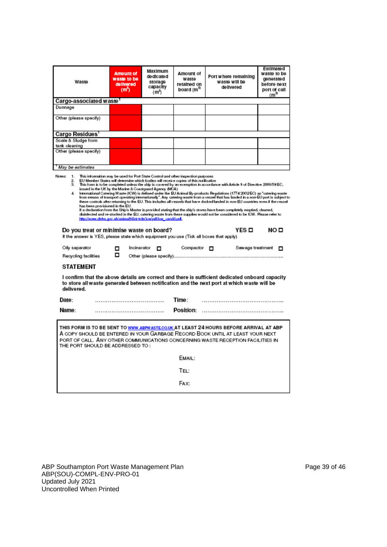| Waste                                                                                                                                                                                                                                                                                                                                                                                                                                                                                                                                                                                                                                                                                                                                                                                                                                                                                                                                                                                                                                                                                                                                                                                                                                     | <b>Amount of</b><br>waste to be<br>delivered<br>(ጠ") | Maximum<br>dedicated<br>storage<br>capacity<br>(m <sup>3</sup> ) | Amount of<br>waste<br>retained on<br>board (m <sup>3)</sup> | Port where remaining<br>waste will be<br>delivered | Estimated<br>waste to be<br>generated<br>before next<br>port of call<br>$(m^3)$ |  |  |  |  |
|-------------------------------------------------------------------------------------------------------------------------------------------------------------------------------------------------------------------------------------------------------------------------------------------------------------------------------------------------------------------------------------------------------------------------------------------------------------------------------------------------------------------------------------------------------------------------------------------------------------------------------------------------------------------------------------------------------------------------------------------------------------------------------------------------------------------------------------------------------------------------------------------------------------------------------------------------------------------------------------------------------------------------------------------------------------------------------------------------------------------------------------------------------------------------------------------------------------------------------------------|------------------------------------------------------|------------------------------------------------------------------|-------------------------------------------------------------|----------------------------------------------------|---------------------------------------------------------------------------------|--|--|--|--|
| Cargo-associated waste <sup>1</sup>                                                                                                                                                                                                                                                                                                                                                                                                                                                                                                                                                                                                                                                                                                                                                                                                                                                                                                                                                                                                                                                                                                                                                                                                       |                                                      |                                                                  |                                                             |                                                    |                                                                                 |  |  |  |  |
| Dunnage                                                                                                                                                                                                                                                                                                                                                                                                                                                                                                                                                                                                                                                                                                                                                                                                                                                                                                                                                                                                                                                                                                                                                                                                                                   |                                                      |                                                                  |                                                             |                                                    |                                                                                 |  |  |  |  |
| Other (please specify)                                                                                                                                                                                                                                                                                                                                                                                                                                                                                                                                                                                                                                                                                                                                                                                                                                                                                                                                                                                                                                                                                                                                                                                                                    |                                                      |                                                                  |                                                             |                                                    |                                                                                 |  |  |  |  |
| Cargo Residues'                                                                                                                                                                                                                                                                                                                                                                                                                                                                                                                                                                                                                                                                                                                                                                                                                                                                                                                                                                                                                                                                                                                                                                                                                           |                                                      |                                                                  |                                                             |                                                    |                                                                                 |  |  |  |  |
| Scale & Sludge from                                                                                                                                                                                                                                                                                                                                                                                                                                                                                                                                                                                                                                                                                                                                                                                                                                                                                                                                                                                                                                                                                                                                                                                                                       |                                                      |                                                                  |                                                             |                                                    |                                                                                 |  |  |  |  |
| tank cleaning<br>Other (please specify)                                                                                                                                                                                                                                                                                                                                                                                                                                                                                                                                                                                                                                                                                                                                                                                                                                                                                                                                                                                                                                                                                                                                                                                                   |                                                      |                                                                  |                                                             |                                                    |                                                                                 |  |  |  |  |
|                                                                                                                                                                                                                                                                                                                                                                                                                                                                                                                                                                                                                                                                                                                                                                                                                                                                                                                                                                                                                                                                                                                                                                                                                                           |                                                      |                                                                  |                                                             |                                                    |                                                                                 |  |  |  |  |
| May be estimates                                                                                                                                                                                                                                                                                                                                                                                                                                                                                                                                                                                                                                                                                                                                                                                                                                                                                                                                                                                                                                                                                                                                                                                                                          |                                                      |                                                                  |                                                             |                                                    |                                                                                 |  |  |  |  |
| 2.<br>EU Member States will determine which bodies will receive copies of this notification<br>3.<br>This form is to be completed unless the ship is covered by an exemption in accordance with Article 9 of Directive 2000/59/EC,<br>issued in the UK by the Marine & Coastguard Agency (MCA)<br>International Catering Waste (ICW) is defined under the EU Animal By-products Regulations (1774/2002/EC) as "catering waste<br>4.<br>from means of transport operating internationally". Any catering waste from a vessel that has landed in a non-EU port is subject to<br>these controls after returning to the EU. This includes all vessels that have docked/landed in non-EU countries even if the vessel<br>has been provisioned in the EU.<br>If a declaration from the Ship's Master is provided stating that the ship's stores have been completely emptied, cleaned,<br>disinfected and re-stocked in the EU, catering waste from these supplies would not be considered to be ICW. Please refer to<br>http://www.defra.gov.uk/animall-lint-trde/iow/pdf/iow_candd.pdf.<br>YES□<br>NO⊡<br>Do you treat or minimise waste on board?<br>If the answer is YES, please state which equipment you use (Tick all boxes that apply). |                                                      |                                                                  |                                                             |                                                    |                                                                                 |  |  |  |  |
| Oily separator                                                                                                                                                                                                                                                                                                                                                                                                                                                                                                                                                                                                                                                                                                                                                                                                                                                                                                                                                                                                                                                                                                                                                                                                                            | Incinerator<br>▫<br>▫                                | п                                                                | Compactor <b>n</b>                                          | Sewage treatment                                   | п                                                                               |  |  |  |  |
| Recycling facilities                                                                                                                                                                                                                                                                                                                                                                                                                                                                                                                                                                                                                                                                                                                                                                                                                                                                                                                                                                                                                                                                                                                                                                                                                      |                                                      |                                                                  |                                                             |                                                    |                                                                                 |  |  |  |  |
| <b>STATEMENT</b>                                                                                                                                                                                                                                                                                                                                                                                                                                                                                                                                                                                                                                                                                                                                                                                                                                                                                                                                                                                                                                                                                                                                                                                                                          |                                                      |                                                                  |                                                             |                                                    |                                                                                 |  |  |  |  |
| I confirm that the above details are correct and there is sufficient dedicated onboard capacity<br>to store all waste generated between notification and the next port at which waste will be<br>delivered.                                                                                                                                                                                                                                                                                                                                                                                                                                                                                                                                                                                                                                                                                                                                                                                                                                                                                                                                                                                                                               |                                                      |                                                                  |                                                             |                                                    |                                                                                 |  |  |  |  |
| Date:                                                                                                                                                                                                                                                                                                                                                                                                                                                                                                                                                                                                                                                                                                                                                                                                                                                                                                                                                                                                                                                                                                                                                                                                                                     |                                                      |                                                                  | Time:                                                       |                                                    |                                                                                 |  |  |  |  |
| Name:                                                                                                                                                                                                                                                                                                                                                                                                                                                                                                                                                                                                                                                                                                                                                                                                                                                                                                                                                                                                                                                                                                                                                                                                                                     |                                                      |                                                                  | Position:                                                   |                                                    |                                                                                 |  |  |  |  |
| THIS FORM IS TO BE SENT TO WWW.ABPWASTE.CO.UK AT LEAST 24 HOURS BEFORE ARRIVAL AT ABP<br>A COPY SHOULD BE ENTERED IN YOUR GARBAGE RECORD BOOK UNTIL AT LEAST YOUR NEXT<br>PORT OF CALL. ANY OTHER COMMUNICATIONS CONCERNING WASTE RECEPTION FACILITIES IN<br>THE PORT SHOULD BE ADDRESSED TO:                                                                                                                                                                                                                                                                                                                                                                                                                                                                                                                                                                                                                                                                                                                                                                                                                                                                                                                                             |                                                      |                                                                  |                                                             |                                                    |                                                                                 |  |  |  |  |
|                                                                                                                                                                                                                                                                                                                                                                                                                                                                                                                                                                                                                                                                                                                                                                                                                                                                                                                                                                                                                                                                                                                                                                                                                                           |                                                      |                                                                  | EMAIL:                                                      |                                                    |                                                                                 |  |  |  |  |
|                                                                                                                                                                                                                                                                                                                                                                                                                                                                                                                                                                                                                                                                                                                                                                                                                                                                                                                                                                                                                                                                                                                                                                                                                                           |                                                      |                                                                  | TEL:                                                        |                                                    |                                                                                 |  |  |  |  |
|                                                                                                                                                                                                                                                                                                                                                                                                                                                                                                                                                                                                                                                                                                                                                                                                                                                                                                                                                                                                                                                                                                                                                                                                                                           |                                                      |                                                                  | FAX:                                                        |                                                    |                                                                                 |  |  |  |  |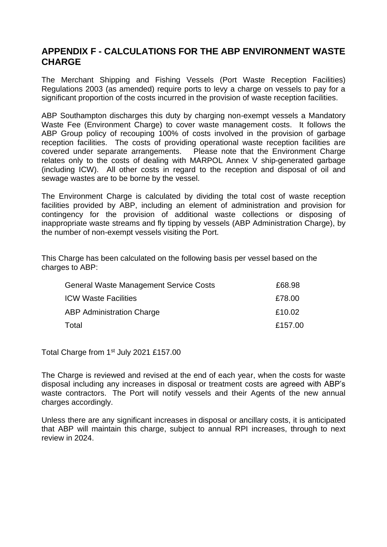# **APPENDIX F - CALCULATIONS FOR THE ABP ENVIRONMENT WASTE CHARGE**

The Merchant Shipping and Fishing Vessels (Port Waste Reception Facilities) Regulations 2003 (as amended) require ports to levy a charge on vessels to pay for a significant proportion of the costs incurred in the provision of waste reception facilities.

ABP Southampton discharges this duty by charging non-exempt vessels a Mandatory Waste Fee (Environment Charge) to cover waste management costs. It follows the ABP Group policy of recouping 100% of costs involved in the provision of garbage reception facilities. The costs of providing operational waste reception facilities are covered under separate arrangements. Please note that the Environment Charge relates only to the costs of dealing with MARPOL Annex V ship-generated garbage (including ICW). All other costs in regard to the reception and disposal of oil and sewage wastes are to be borne by the vessel.

The Environment Charge is calculated by dividing the total cost of waste reception facilities provided by ABP, including an element of administration and provision for contingency for the provision of additional waste collections or disposing of inappropriate waste streams and fly tipping by vessels (ABP Administration Charge), by the number of non-exempt vessels visiting the Port.

This Charge has been calculated on the following basis per vessel based on the charges to ABP:

| General Waste Management Service Costs | £68.98  |
|----------------------------------------|---------|
| <b>ICW Waste Facilities</b>            | £78.00  |
| <b>ABP Administration Charge</b>       | £10.02  |
| Total                                  | £157.00 |

Total Charge from 1<sup>st</sup> July 2021 £157.00

The Charge is reviewed and revised at the end of each year, when the costs for waste disposal including any increases in disposal or treatment costs are agreed with ABP's waste contractors. The Port will notify vessels and their Agents of the new annual charges accordingly.

Unless there are any significant increases in disposal or ancillary costs, it is anticipated that ABP will maintain this charge, subject to annual RPI increases, through to next review in 2024.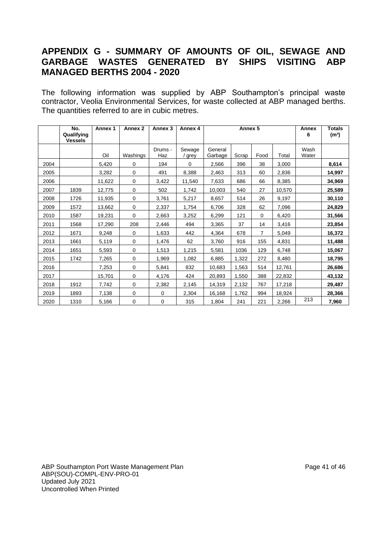# **APPENDIX G - SUMMARY OF AMOUNTS OF OIL, SEWAGE AND GARBAGE WASTES GENERATED BY SHIPS VISITING ABP MANAGED BERTHS 2004 - 2020**

The following information was supplied by ABP Southampton's principal waste contractor, Veolia Environmental Services, for waste collected at ABP managed berths. The quantities referred to are in cubic metres.

|      | No.<br>Qualifying<br><b>Vessels</b> | Annex 1 | Annex <sub>2</sub> | Annex <sub>3</sub> | Annex 4 | Annex 5 |       |                |        | Annex<br>6 | <b>Totals</b><br>(m <sup>3</sup> ) |
|------|-------------------------------------|---------|--------------------|--------------------|---------|---------|-------|----------------|--------|------------|------------------------------------|
|      |                                     |         |                    | Drums -            | Sewage  | General |       |                |        | Wash       |                                    |
|      |                                     | Oil     | Washings           | Haz                | / grey  | Garbage | Scrap | Food           | Total  | Water      |                                    |
| 2004 |                                     | 5,420   | $\Omega$           | 194                | 0       | 2,566   | 396   | 38             | 3,000  |            | 8,614                              |
| 2005 |                                     | 3,282   | 0                  | 491                | 8,388   | 2,463   | 313   | 60             | 2,836  |            | 14,997                             |
| 2006 |                                     | 11,622  | 0                  | 3,422              | 11,540  | 7,633   | 686   | 66             | 8,385  |            | 34,969                             |
| 2007 | 1839                                | 12,775  | 0                  | 502                | 1,742   | 10,003  | 540   | 27             | 10,570 |            | 25,589                             |
| 2008 | 1726                                | 11,935  | 0                  | 3,761              | 5,217   | 8,657   | 514   | 26             | 9,197  |            | 30,110                             |
| 2009 | 1572                                | 13,662  | 0                  | 2,337              | 1,754   | 6,706   | 328   | 62             | 7,096  |            | 24,829                             |
| 2010 | 1587                                | 19,231  | 0                  | 2,663              | 3,252   | 6,299   | 121   | $\Omega$       | 6,420  |            | 31,566                             |
| 2011 | 1568                                | 17,290  | 208                | 2,446              | 494     | 3,365   | 37    | 14             | 3,416  |            | 23,854                             |
| 2012 | 1671                                | 9,248   | 0                  | 1,633              | 442     | 4,364   | 678   | $\overline{7}$ | 5,049  |            | 16.372                             |
| 2013 | 1661                                | 5,119   | 0                  | 1,476              | 62      | 3,760   | 916   | 155            | 4,831  |            | 11,488                             |
| 2014 | 1651                                | 5,593   | 0                  | 1,513              | 1,215   | 5,581   | 1036  | 129            | 6,748  |            | 15,067                             |
| 2015 | 1742                                | 7,265   | 0                  | 1,969              | 1,082   | 6,885   | 1,322 | 272            | 8,480  |            | 18,795                             |
| 2016 |                                     | 7,253   | $\mathbf 0$        | 5,841              | 832     | 10,683  | 1,563 | 514            | 12,761 |            | 26,686                             |
| 2017 |                                     | 15,701  | $\mathbf 0$        | 4,176              | 424     | 20,893  | 1,550 | 388            | 22,832 |            | 43,132                             |
| 2018 | 1912                                | 7,742   | 0                  | 2,382              | 2,145   | 14,319  | 2,132 | 767            | 17,218 |            | 29,487                             |
| 2019 | 1893                                | 7,138   | 0                  | 0                  | 2,304   | 16,168  | 1,762 | 994            | 18,924 |            | 28,366                             |
| 2020 | 1310                                | 5,166   | 0                  | 0                  | 315     | 1,804   | 241   | 221            | 2,266  | 213        | 7,960                              |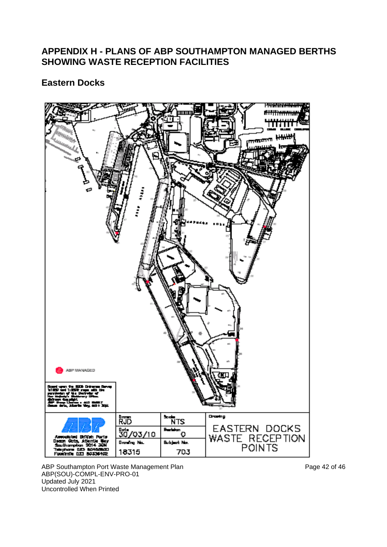# **APPENDIX H - PLANS OF ABP SOUTHAMPTON MANAGED BERTHS SHOWING WASTE RECEPTION FACILITIES**

# **Eastern Docks**



ABP Southampton Port Waste Management Plan **Page 12 of 46** and Page 42 of 46 ABP(SOU)-COMPL-ENV-PRO-01 Updated July 2021 Uncontrolled When Printed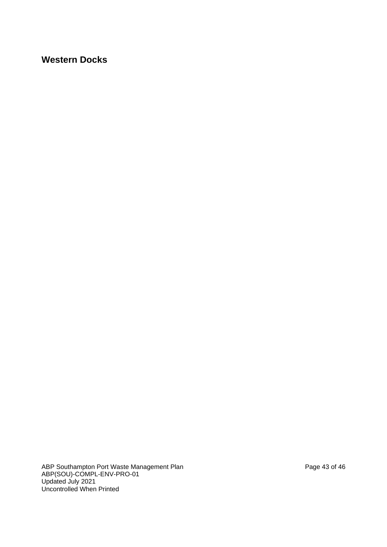# **Western Docks**

ABP Southampton Port Waste Management Plan **Page 14** and Page 43 of 46 ABP(SOU)-COMPL-ENV-PRO-01 Updated July 2021 Uncontrolled When Printed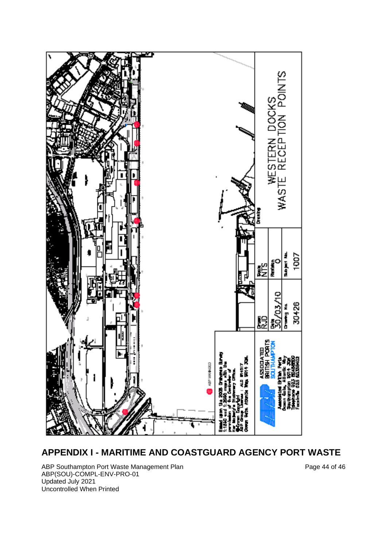

# **APPENDIX I - MARITIME AND COASTGUARD AGENCY PORT WASTE**

ABP Southampton Port Waste Management Plan **Page 14** of 46 ABP(SOU)-COMPL-ENV-PRO-01 Updated July 2021 Uncontrolled When Printed